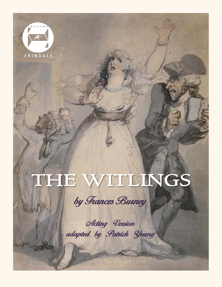

# **THE WITLINGS**



Acting Version adapted by Patrick Young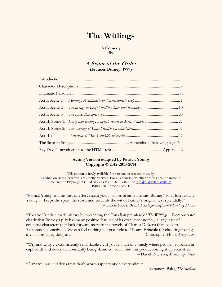## **The Witlings**

**A Comedy By**

#### **A Sister of the Order (Frances Burney, 1779)**

#### **Acting Version adapted by Patrick Young Copyright © 2012-2013-2014**

This edition is freely available for personal or classroom study. Production rights, however, are strictly reserved. For all enquiries, whether professional or amateur, contact the Playwrights Guild of Canada at 416-703-0201 o[r info@playwrightsguild.ca](mailto:info@playwrightsguild.ca) ISBN 978-1-555435-559-4.

"Patrick Young and his cast of effervescent young actors breathe life into Burney's long-lost text…. Young ... keeps the spirit, the story, and certainly the wit of Burney's original text splendidly." – Kelcie Jones, *British Society for Eighteenth Century Studies*

"Theatre Erindale made history by presenting the Canadian premiere of *The Witlings*.... Demonstrates clearly that Burney's play has many positive features of its own, most notably a large cast of eccentric characters that look forward more to the novels of Charles Dickens than back to Restoration comedy. … We can feel nothing but gratitude to Theatre Erindale for choosing to stage it…. Thoroughly delightful!" – Christopher Hoile, *Stage Door*

"Wry and witty … Consistently remarkable … If you're a fan of comedy where people get locked in cupboards and doors are constantly being slammed, you'll find this production right up your street." – David Paterson, *Mississauga News*

"A marvellous, hilarious treat that's worth rapt attention every minute."

– Alexandra Balaj, *The Medium*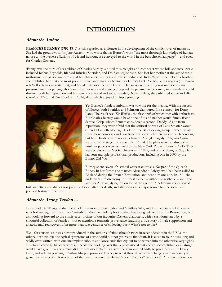## **INTRODUCTION**

#### **About the Author …**

**FRANCES BURNEY (1752-1840)** is still regarded as a pioneer in the development of the comic novel of manners. She laid the groundwork for Jane Austen – who wrote that in Burney's work "the most thorough knowledge of human nature … the liveliest effusions of wit and humour, are conveyed to the world in the best chosen language" – and even for Charles Dickens.

'Fanny' was the third of six children of Charles Burney, a noted musicologist and composer whose brilliant social circle included Joshua Reynolds, Richard Brinsley Sheridan, and Dr. Samuel Johnson. She lost her mother at the age of ten, a misfortune she passed on to many of her characters, and was entirely self-educated. In 1778, with the help of a brother, she published her first and most popular novel anonymously behind her father's back. *Evelina; or, a Young Lady's Entrance into the World* was an instant hit, and her identity soon became known. Her subsequent writing was under constant pressure from her parent, who feared that her work – if it strayed beyond the perameters becoming to a female – would threaten both her reputation and his own professional and social standing. Nevertheless, she published *Cecilia* in 1782, *Camilla* in 1796, and *The Wanderer* in 1814, all of which enjoyed multiple printings.



Yet Burney's fondest ambition was to write for the theatre. With the success of *Evelina*, both Sheridan and Johnson clamoured for a comedy for Drury Lane. The result was *The Witlings*, the first draft of which met with enthusiasm. But Charles Burney would have none of it, and neither would family friend Samuel Crisp, whom Frances considered a second 'Daddy'. Aside from reputation, they were afraid that the satirical portrait of Lady Smatter would offend Elizabeth Montagu, leader of the Bluestocking group. Frances wrote three more comedies and two tragedies for which there was no such concern, but her 'Daddies' were no less adamant. A single tragedy, *Edwy and Elgiva*, made it to the stage unsuccessfully in 1794. The plays were not discovered until her papers were acquired by the New York Public Library in 1945. They were published by McGill University in 1995, and one of them, *A Busy Day*, has seen multiple professional productions including one in 2000 by the Bristol Old Vic.

Burney spent several frustrated years at court as a Keeper of the Queen's Robes. In her forties she married Alexandre d'Arblay, who had been exiled to England during the French Revolution, and bore him one son. In 1811 she underwent a mastectomy for breast cancer – without anaesthetic – and lived another 29 years, dying in London at the age of 87. A lifetime collection of

brilliant letters and diaries was published soon after her death, and still serves as a major source for the social and political history of the time.

#### **About the Acting Version …**

I first read *The Witlings* in the fine scholarly edition of Peter Sabor and Geoffrey Sills, and I immediately fell in love with it. A brilliant eighteenth-century Comedy of Manners harking back to the sharp-tongued romps of the Restoration, but also looking forward to the comic eccentricities of our favourite Dickens characters, with a cast dominated by a colourful collection of females – not to mention a romantic provenance featuring a true story of male suppression and an accidental rediscovery after more than two centuries of collecting dust? What's not to like?

Well, for starters, as it was never produced in the author's lifetime (though twice in recent decades in the USA), the original text exhibits the typical symptoms of a wonderful but not-yet-ready first draft. It is close to four hours long and wildly over-written, with one incomplete subplot and loose ends that cry out to be woven into the otherwise very tightly structured comedy. In other words, it needs the working over that a professional cast and an accomplished dramaturge would have given it – and almost did. Impresario Richard Brinsley Sheridan wanted badly to produce it at the Drury Lane, and veteran playwright Arthur Murphy promised Burney to see it through whatever changes were necessary to guarantee its success. However, all of that was prevented by Burney's two "Daddies" (see above). Any new production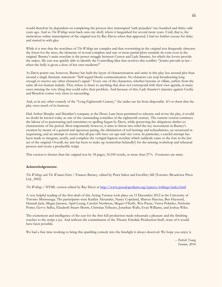would therefore be dependent on completing the process they interrupted 'with prejudice' two hundred and thirty-odd years ago. And so *The Witlings* went back onto my shelf, where it languished for several more years. Until, that is, the meticulous online transcription of the original text by Ray Davis; when that appeared, I had no further excuse for delay and started in with glee.

While it is true that the storylines of *The Witlings* are complex and that overwriting in the original text frequently obscures the forest for the trees, the elements of several complete and one or more partial plots certainly do exist even in the original. Burney's main storyline is the power struggle between Censor and Lady Smatter, for which the lovers provide the stakes. My cast was quickly able to identify the Controlling Idea that resolves this conflict: "Justice prevails at last – when the bully is given a dose of her own medicine!"

As Davis points out, however, Burney has built the layers of characterization and satire in this play less around plot than around a single thematic statement: "Self-regard blocks communication. No character can stop broadcasting long enough to receive any other character's signal." Every one of the characters, whether heroine or villain, suffers from the same all-too-human malady. They refuse to listen to anything that does not correspond with their own agenda, in many cases missing the very thing that could solve their problem. And because of this, Lady Smatter's injustice against Cecilia and Beaufort comes very close to succeeding.

And, as in any other comedy of the "Long Eighteenth Century," the asides are far from disposable. It's to them that the play owes much of its humour.

Had Arthur Murphy and Sheridan's company at the Drury Lane been permitted to rehearse and revise the play, it would no doubt be known today as one of the outstanding comedies of the eighteenth century. The current version continues the labour of re-punctuating and sometimes re-spelling begun by Davis, while preserving the ubiquitous dashes so characteristic of the period. Most importantly however, it aims to throw into relief the key movements in Burney's creation by means of a general and rigourous paring, the elimination of red herrings and redundancies, an occasional resequencing, and an attempt to ensure that all pay-offs have set-ups and vice versa. In particular, a careful attempt has been made to integrate, justify, and complete the vestigial Sapient storyline which suddenly came to the fore in the last act of the original. Overall, my aim has been to make up (somewhat belatedly!) for the missing workshop and rehearsal process and create a producible script.

This version is shorter than the original text by 18 pages, 10,100 words, or more than 27%. Footnotes are mine.

#### **Acknowledgements:**

*The Witlings and The Woman-Hater* / Frances Burney, edited by Peter Sabor and Geoffrey Sill (Toronto: Broadview Press Ltd., 2002)

*The Witlings* / HTML version edited by Ray Davis at<http://www.pseudopodium.org/repress/witlings/index.html>

A very helpful reading of the first draft of this Acting Version took place on 15 December 2012 at the University of Toronto Mississauga. The participants were Kaitlyn Alexander, Nancy Copeland, Marcus Haccius, Ben Hayward, Hannah Jack, Megan Janssen, April Leung, Carolyn Nettleton, Megan O'Kelly, Wes Payne, Victor Pokinko, Nicholas Potter, Gevvy Sidhu, Elizabeth Stuart-Morris, Christian Tribuzio, Jonathan Walls, Evan Williams, and Joshua Wiles.

The excitement and intelligence of the cast for the first full production made rehearsals a pleasure and the finishing touches to the script a joy. And without the commitment of the Theatre Erindale Production Staff, none of it would have been possible.

We had a fine time working to bring this sparkling comedy into the limelight it always deserved. We hope you enjoy it.

*– Patrick Young Toronto, 2014*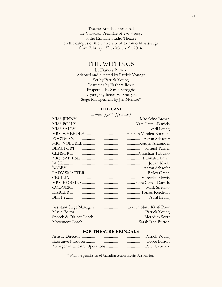Theatre Erindale presented the Canadian Première of *The Witlings* at the Erindale Studio Theatre on the campus of the University of Toronto Mississauga from Februay  $13<sup>th</sup>$  to March  $2<sup>nd</sup>$ , 2014.

## THE WITLINGS

by Frances Burney Adapted and directed by Patrick Young\* Set by Patrick Young Costumes by Barbara Rowe Properties by Sarah Scroggie Lighting by James W. Smagata Stage Management by Jan Munroe\*

#### **THE CAST** *(in order of first appearance):*

| <i>(in order of first appearance)</i> . |
|-----------------------------------------|
| Madeleine Brown                         |
|                                         |
|                                         |
|                                         |
|                                         |
|                                         |
|                                         |
|                                         |
|                                         |
|                                         |
|                                         |
|                                         |
|                                         |
|                                         |
|                                         |
|                                         |
|                                         |
|                                         |

#### **FOR THEATRE ERINDALE**

\* With the permission of Canadian Actors Equity Association.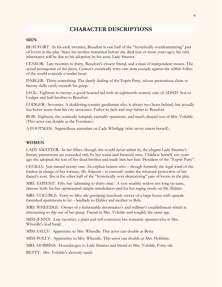## **CHARACTER DESCRIPTIONS**

#### **MEN**

BEAUFORT: In his early twenties, Beaufort is one half of the "hysterically overdramatizing" pair of lovers in the play. Since his mother remarried before she died (ten or more years ago), his only inheritance will be due to his adoption by his aunt, Lady Smatter.

CENSOR: Late twenties to thirty, Beaufort's closest friend, and a man of independent means. The actual protagonist of the piece, Censor's caustically witty one-man crusade against the selfish follies of the world conceals a tender heart.

DABLER: Thirty-something. The dandy darling of the Esprit Party, whose pretentious claim to literary skills vastly exceeds his grasp.

JACK: Eighteen to twenty, a good-hearted lad with an eighteenth-century case of ADHD. Son to Codger and half-brother to Beaufort.

CODGER: Seventies. A doddering country gentleman who is always two beats behind, but actually has better sense than his city associates. Father to Jack and step-father to Beaufort.

BOB: Eighteen, the comically lumpish, eternally optimistic, and much-abused son of Mrs. Voluble. (This actor can double as the Footman.)

A FOOTMAN: Supercilious attendant on Lady Whirligig (who never enters herself).

#### **WOMEN**

LADY SMATTER: In her fifties (though she would never admit it), the elegant Lady Smatter's literary pretensions are exceeded only by her social and financial ones. Childless herself, ten years ago she adopted the son of her dead brother and made him her heir. President of the "Esprit Party".

CECILIA: Just turned twenty-one. An orphan heiress who – though formerly the legal ward of the banker in charge of her fortune, Mr. Stipend – is currently under the reluctant protection of her fiancé's aunt. She is the other half of the "hysterically over-dramatizing" pair of lovers in the play.

MRS. SAPIENT: Fifty but 'admitting to thirty-nine'. A very wealthy widow not long on taste, famous both for her opinionated simple-mindedness and for her raging crush on Mr. Dabler.

MRS. VOLUBLE: Forty to fifty; the gossiping busybody owner of a large house with upscale furnished apartments to let – landlady to Dabler and mother to Bob.

MRS. WHEEDLE: Owner of a fashionable dressmaker's and milliner's establishment which is threatening to slip out of her grasp. Friend to Mrs. Voluble and roughly the same age.

MISS JENNY: Late twenties, a plain and self-conscious but romantic spinster who is Mrs. Wheedle's lead hand.

MISS SALLY: Apprentice to Mrs. Wheedle. This actor can double as Betty.

MISS POLLY: Apprentice to Mrs. Wheedle. This actor can double as Mrs. Hobbins.

MRS. HOBBINS: Housekeeper to Lady Smatter and friend to Mrs. Voluble. Forty-ish.

BETTY: Mrs. Voluble's slovenly maid.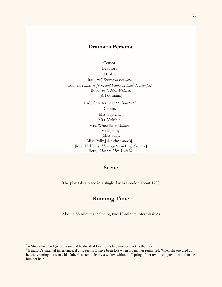## **Dramatis Personæ**

Censor. Beaufort. Dabler. Jack, *half Brother to Beaufort*. Codger, *Father to Jack, and Father in Law<sup>1</sup> to Beaufort*. Bob, *Son to Mrs. Voluble*. [A Footman.]

Lady Smatter, *Aunt to Beaufort*. *2* Cecilia. Mrs. Sapient. Mrs. Voluble. Mrs. Wheedle, *a Milliner.* Miss Jenny, [Miss Sally, Miss Polly,] *her Apprentice*[*s*]. [Mrs. Hobbins, *Housekeeper to Lady Smatter*.] Betty, *Maid to Mrs. Voluble*.

### **Scene**

The play takes place in a single day in London about 1780

## **Running Time**

2 hours 55 minutes including two 10-minute intermissions

 $\frac{1}{1}$  = Stepfather. Codger is the second husband of Beaufort's late mother. Jack is their son.

<sup>&</sup>lt;sup>2</sup> Beaufort's paternal inheritance, if any, seems to have been lost when his mother remarried. When she too died as he was entering his teens, his father's sister – clearly a widow without offspring of her own – adopted him and made him her heir.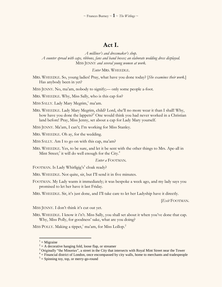## **Act I.**

*A milliner's and dressmaker's shop. A counter spread with caps, ribbons, fans and band boxes; an elaborate wedding dress displayed.*  MISS JENNY *and several young women at work.*

*Enter* MRS. WHEEDLE*.*

MRS. WHEEDLE. So, young ladies! Pray, what have you done today? [*She examines their work.*] Has anybody been in yet?

MISS JENNY. No, ma'am, nobody to signify;— only some people a-foot.

MRS. WHEEDLE. Why, Miss Sally, who is this cap for?

MISS SALLY. Lady Mary Megrim,<sup>1</sup> ma'am.

MRS. WHEEDLE. Lady Mary Megrim, child? Lord, she'll no more wear it than I shall! Why, how have you done the lappets?<sup>2</sup> One would think you had never worked in a Christian land before! Pray, Miss Jenny, set about a cap for Lady Mary yourself.

MISS JENNY. Ma'am, I can't; I'm working for Miss Stanley.

MRS. WHEEDLE. Oh ay, for the wedding.

MISS SALLY. Am I to go on with this cap, ma'am?

MRS. WHEEDLE. Yes, to be sure, and let it be sent with the other things to Mrs. Ape-all in Mint Street;<sup>3</sup> it will do well enough for the City.<sup>4</sup>

#### *Enter a* FOOTMAN*.*

FOOTMAN. Is Lady Whirligig's<sup>5</sup> cloak ready?

MRS. WHEEDLE. Not quite, sir, but I'll send it in five minutes.

FOOTMAN. My Lady wants it immediately; it was bespoke a week ago, and my lady says you promised to let her have it last Friday.

MRS. WHEEDLE. Sir, it's just done, and I'll take care to let her Ladyship have it directly.

[*Exit* FOOTMAN*.*

MISS JENNY. I don't think it's cut out yet.

MRS. WHEEDLE. I know it i'n't. Miss Sally, you shall set about it when you've done that cap. Why, Miss Polly, for goodness' sake, what are you doing?

MISS POLLY. Making a tippet,<sup>1</sup> ma'am, for Miss Lollop.<sup>2</sup>

 $1 =$ Migraine

 $2^2$  = A decorative hanging fold, loose flap, or streamer

<sup>3</sup> Originally "the Minories", a street in the City that intersects with Royal Mint Street near the Tower

 $4 =$  Financial district of London, once encompassed by city walls, home to merchants and tradespeople

 $5 =$  Spinning toy, top, or merry-go-round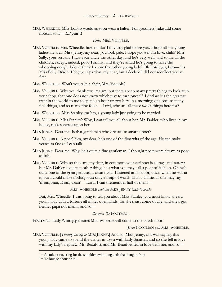$\sim$  Frances Burney  $\sim$  **2**  $\sim$  *The Witlings*  $\sim$ 

MRS. WHEEDLE. Miss Lollop would as soon wear a halter! For goodness' sake add some ribbons to it— *last* year's!

#### *Enter* MRS. VOLUBLE*.*

MRS. VOLUBLE. Mrs. Wheedle, how do do? I'm vastly glad to see you. I hope all the young ladies are well. Miss Jenny, my dear, you look pale; I hope you a'n't in love, child? Miss Sally, your servant. I saw your uncle the other day, and he's very well, and so are all the children; except, indeed, poor Tommy, and they're afraid he's going to have the whooping cough. I don't think I know that other young lady? Oh Lord, yes, I do— it's Miss Polly Dyson! I beg your pardon, my dear, but I declare I did not recollect you at first.

MRS. WHEEDLE. Won't you take a chair, Mrs. Voluble?

MRS. VOLUBLE. Why yes, thank you, ma'am; but there are so many pretty things to look at in your shop, that one does not know which way to turn oneself. I declare it's the greatest treat in the world to me to spend an hour or two here in a morning; one sees so many fine things, and so many fine folks— Lord, who are all these sweet things here for?

MRS. WHEEDLE. Miss Stanley, ma'am, a young lady just going to be married.

- MRS. VOLUBLE. Miss Stanley? Why, I can tell you all about her. Mr. Dabler, who lives in my house, makes verses upon her.
- MISS JENNY. Dear me! Is that gentleman who dresses so smart a poet?
- MRS. VOLUBLE. A poet? Yes, my dear, he's one of the first wits of the age. He can make verses as fast as I can talk.
- MISS JENNY. Dear me! Why, he's quite a fine gentleman; I thought poets were always as poor as Job.
- MRS. VOLUBLE. Why so they are, my dear, in common; your *real* poet is all rags and tatters: but Mr. Dabler is quite another thing; he's what you may call a poet of fashion. Oh he's quite one of the great geniuses, I assure you! I listened at his door, once, when he was at it, but I could make nothing out: only a heap of words all in a chime, as one may say— 'mean, lean, Dean, wean'— Lord, I can't remember half of them!—

MRS. WHEEDLE *motions* MISS JENNY *back to work.*

But, Mrs. Wheedle, I was going to tell you about Miss Stanley; you must know she's a young lady with a fortune all in her own hands, for she's just come of age, and she's got neither papa nor mama, and so—

#### *Re-enter the* FOOTMAN*.*

FOOTMAN. Lady Whirligig desires Mrs. Wheedle will come to the coach door.

[*Exit* FOOTMAN *and* MRS. WHEEDLE*.*

MRS. VOLUBLE. [*Turning herself to* MISS JENNY*.*] And so, Miss Jenny, as I was saying, this young lady came to spend the winter in town with Lady Smatter, and so she fell in love with my lady's nephew, Mr. Beaufort, and Mr. Beaufort fell in love with her, and so—

 $1 = A$  stole or covering for the shoulders with long ends that hang in front

 $2 =$ To lounge about or loll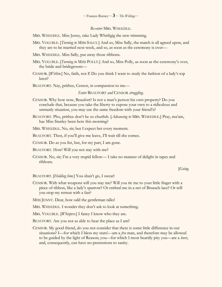#### *Re-enter* MRS. WHEEDLE*.*

MRS. WHEEDLE. Miss Jenny, take Lady Whirligig the new trimming.

- MRS. VOLUBLE. [*Turning to* MISS SALLY*.*] And so, Miss Sally, the match is all agreed upon, and they are to be married next week, and so, as soon as the ceremony is over—
- MRS. WHEEDLE. Miss Sally, put away those ribbons.
- MRS. VOLUBLE. [*Turning to* MISS POLLY*.*] And so, Miss Polly, as soon as the ceremony's over, the bride and bridegroom—
- CENSOR. [*Within.*] No, faith, not I! Do you think I want to study the fashion of a lady's top knot?

BEAUFORT. Nay, prithee, Censor, in compassion to me—

#### *Enter* BEAUFORT *and* CENSOR *struggling.*

- CENSOR. Why how now, Beaufort? Is not a man's person his own property? Do you conclude that, because you take the liberty to expose your own to a ridiculous and unmanly situation, you may use the same freedom with your friend's?
- BEAUFORT. Pho, prithee don't be so churlish. [*Advancing to* MRS. WHEEDLE*.*] Pray, ma'am, has Miss Stanley been here this morning?
- MRS. WHEEDLE. No, sir; but I expect her every moment.
- BEAUFORT. Then, if you'll give me leave, I'll wait till she comes.
- CENSOR. Do as you list, but, for my part, I am gone.

BEAUFORT. How! Will you not stay with me?

CENSOR. No, sir; I'm a very stupid fellow— I take no manner of delight in tapes and ribbons.

[*Going.*

BEAUFORT. [*Holding him.*] You shan't go, I swear!

CENSOR. With what weapons will you stay me? Will you tie me to your little finger with a piece of ribbon, like a lady's sparrow? Or enthral me in a net of Brussels lace? Or will you stop my retreat with a fan?

MISS JENNY. Dear, how odd the gentleman talks!

MRS. WHEEDLE. I wonder they don't ask to look at something.

MRS. VOLUBLE. [*Whispers.*] I fancy I know who they are.

BEAUFORT. Are you not as able to bear the place as I am?

CENSOR. My good friend, do you not consider that there is some little difference in our situations? I—for which I bless my stars!—am a *free* man, and therefore may be allowed to be guided by the light of Reason; you—for which I most heartily pity you—are a *lover*, and, consequently, can have no pretensions to sanity.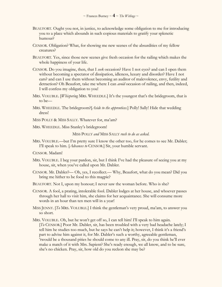- BEAUFORT. Ought you not, in justice, to acknowledge some obligation to me for introducing you to a place which abounds in such copious materials to gratify your splenetic humour?
- CENSOR. Obligation? What, for showing me new scenes of the absurdities of my fellow creatures?
- BEAUFORT. Yes, since those new scenes give fresh occasion for the railing which makes the whole happiness of your life.
- CENSOR. Do you imagine, then, that I *seek* occasion? Have I not eyes? and can I open them without becoming a spectator of dissipation, idleness, luxury and disorder? Have I not ears? and can I use them without becoming an auditor of malevolence, envy, futility and detraction? Oh Beaufort, take me where I can *avoid* occasion of railing, and then, indeed, I will confess my obligation to you!
- MRS. VOLUBLE. [*Whispering* MRS. WHEEDLE*.*] It's the youngest that's the bridegroom, that is to be—
- MRS. WHEEDLE. The bridegroom?[*Aside to the apprentices*.] Polly! Sally! Hide that wedding dress!
- MISS POLLY & MISS SALLY. Whatever for, ma'am?
- MRS. WHEEDLE. Miss Stanley's bridegroom!

MISS POLLY *and* MISS SALLY *rush to do as asked*.

MRS. VOLUBLE.—but I'm pretty sure I know the other too, for he comes to see Mr. Dabler; I'll speak to him. [*Advances to* CENSOR*.*] Sir, your humble servant.

CENSOR. Madam!

- MRS. VOLUBLE. I beg your pardon, sir, but I think I've had the pleasure of seeing you at my house, sir, when you've called upon Mr. Dabler.
- CENSOR. Mr. Dabler?— Oh, yes, I recollect.— Why, Beaufort, what do you mean? Did you bring me hither to be food to this magpie?
- BEAUFORT. Not I, upon my honour; I never saw the woman before. Who is she?
- CENSOR. A fool, a prating, intolerable fool. Dabler lodges at her house, and whoever passes through her hall to visit him, she claims for her acquaintance. She will consume more words in an hour than ten men will in a year!
- MISS JENNY. [*To* MRS. VOLUBLE*.*] I think the gentleman's very proud, ma'am, to answer you so short.
- MRS. VOLUBLE. Oh, but he won't get off so, I can tell him! I'll speak to him again. [*To* CENSOR*.*] Poor Mr. Dabler, sir, has been troubled with a very bad headache lately; I tell him he studies too much, but he says he can't help it; however, I think it's a friend's part to advise him against it, for Mr. Dabler's such a worthy, agreeable gentleman, 'twould be a thousand pities he should come to any ill. Pray, sir, do you think he'll ever make a match of it with Mrs. Sapient? She's ready enough, we all know, and to be sure, she's no chicken. Pray, sir, how old do you reckon she may be?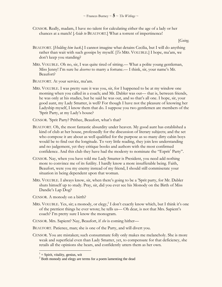CENSOR. Really, madam, I have no talent for calculating either the age of a lady or her chances at a match! [*Aside to* BEAUFORT.] What a torrent of impertinence!

```
[Going.
```
- BEAUFORT. [*Holding him back*.] I cannot imagine what detains Cecilia, but I will do anything rather than wait with such gossips by myself. [*To* MRS. VOLUBLE.] I hope, ma'am, we don't keep you standing?
- MRS. VOLUBLE. Oh no, sir, I was quite tired of sitting.— What a polite young gentleman, Miss Jenny! I'm sure he *deserves* to marry a fortune.— I think, sir, your name's Mr. Beaufort?
- BEAUFORT. At your service, ma'am.
- MRS. VOLUBLE. I was pretty sure it was you, sir, for I happened to be at my window one morning when you called in a coach; and Mr. Dabler was out— that is, between friends, he was only at his studies, but he said he was out, and so that's all one. I hope, sir, your good aunt, my Lady Smatter, is well? For though I have not the pleasure of knowing her Ladyship myself, I know them that do. I suppose you two gentlemen are members of the 'Sprit Party, at my Lady's house?
- CENSOR. 'Sprit Party? Prithee, Beaufort, what's that?
- BEAUFORT. Oh, the most fantastic absurdity under heaven. My good aunt has established a kind of club at her house, professedly for the discussion of literary subjects; and the set who compose it are about as well qualified for the purpose as so many dirty cabin boys would be to find out the longitude. To very little reading, they join less understanding and no judgement, yet they critique books and authors with the most confirmed confidence. And this club they have had the modesty to nominate the "Esprit<sup>1</sup> Party".
- CENSOR. Nay, when you have told me Lady Smatter is President, you need add nothing more to convince me of its futility. I hardly know a more insufferable being. Faith, Beaufort, were you my enemy instead of my friend, I should still commiserate your situation in being dependent upon that woman.
- MRS. VOLUBLE. I always know, sir, when there's going to be a 'Sprit party, for Mr. Dabler shuts himself up to study. Pray, sir, did you ever see his Monody on the Birth of Miss Dandie's Lap Dog?
- CENSOR. A monody on a birth?
- MRS. VOLUBLE. Yes, sir; a monody, or elegy,<sup>2</sup> I don't exactly know which, but I think it's one of the prettiest things he ever wrote; he tells us— Oh dear, is not that Mrs. Sapient's coach? I'm pretty sure I know the monogram.
- CENSOR. Mrs. Sapient? Nay, Beaufort, if *she* is coming hither—
- BEAUFORT. Patience, man; she is one of the Party, and will divert you.
- CENSOR. You are mistaken; such consummate folly only makes me melancholy. She is more weak and superficial even than Lady Smatter, yet, to compensate for that deficiency, she retails all the opinions she hears, and confidently utters them as her own.

 $\overline{a}$ 

 $1 =$  Spirit, vitality, genius, wit

 $2^{2}$  Both monody and elegy are terms for a poem lamenting the dead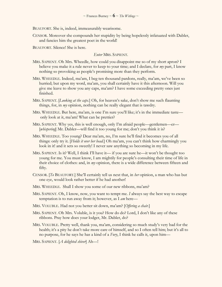$\sim$  Frances Burney  $\sim$  **6**  $\sim$  *The Witlings*  $\sim$ 

BEAUFORT. She is, indeed, immeasurably wearisome.

CENSOR. Moreover she compounds her stupidity by being hopelessly infatuated with Dabler, and fancies him the greatest poet in the world!

BEAUFORT. Silence! She is here.

*Enter* MRS. SAPIENT*.*

- MRS. SAPIENT. Oh Mrs. Wheedle, how could you disappoint me so of my short apron? I believe you make it a rule never to keep to your time; and I declare, for *my* part, I know nothing so provoking as people's promising more than they perform.
- MRS. WHEEDLE. Indeed, ma'am, I beg ten thousand pardons, really, ma'am, we've been so hurried; but upon my word, ma'am, you shall certainly have it this afternoon. Will you give me leave to show you any caps, ma'am? I have some exceeding pretty ones just finished.
- MRS. SAPIENT. [*Looking at the caps.*] Oh, for heaven's sake, don't show me such flaunting things, for, in *my* opinion, nothing can be really elegant that is tawdry.
- MRS. WHEEDLE. But here, ma'am, is one I'm sure you'll like; it's in the immediate taste only look at it, ma'am! What can be prettier?
- MRS. SAPIENT. Why yes, this is well enough, only I'm afraid people—gentlemen—er— [*whispering*] Mr. Dabler—will find it too young for me; don't you think it is?
- MRS. WHEEDLE. Too young? Dear ma'am, no, I'm sure he'll find it becomes you of all things: only try it. [*Holds it over her head.*] Oh ma'am, you can't think how charmingly you look in it! and it sets so sweetly! I never saw anything so becoming in my life.
- MRS. SAPIENT. Is it? Well, I think I'll have it— if you are sure he—it won't be thought too young for me. You must know, I am mightily for people's consulting their time of life in their choice of clothes: and, in *my* opinion, there is a wide difference between fifteen and fifty.
- CENSOR. [*To* BEAUFORT*.*] She'll certainly tell us next that, in *her* opinion, a man who has but one eye, would look rather better if he had another!
- MRS. WHEEDLE. Shall I show you some of our new ribbons, ma'am?
- MRS. SAPIENT. Oh, I know, now, you want to tempt me. *I* always say the best way to escape temptation is to run away from it; however, as I *am* here—
- MRS. VOLUBLE. Had not you better sit down, ma'am? [*Offering a chair.*]
- MRS. SAPIENT. Oh Mrs. Voluble, is it you? How do do? Lord, I don't like any of these ribbons. Pray how does your lodger, Mr. Dabler, do?
- MRS. VOLUBLE. Pretty well, thank you, ma'am, considering so much study's very bad for the health; it's a pity he don't take more care of himself, and so I often tell him; but it's all to no purpose, for he says he has a kind of a *Fury*, I think he calls it, upon him—

MRS. SAPIENT. [*A delighted shiver*] Ah—!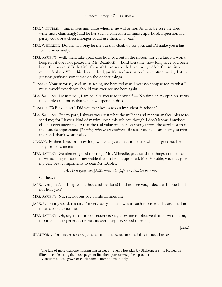- MRS. VOLUBLE.—that makes him write whether he will or not. And, to be sure, he does write most charmingly! and he has such a collection of miniscrips! Lord, I question if a pastry cook or a cheesemonger could use them in a year!<sup>1</sup>
- MRS. WHEEDLE. Do, ma'am, pray let me put this cloak up for you, and I'll make you a hat for it immediately.
- MRS. SAPIENT. Well, then, take great care how you put in the ribbon, for you know I won't keep it if it does not please me. Mr. Beaufort!— Lord bless me, how long have you been here? Oh heavens! Is that Mr. Censor? I can scarce believe my eyes! Mr. Censor in a milliner's shop! Well, this does, indeed, justify an observation I have often made, that the greatest geniuses sometimes do the oddest things.
- CENSOR. Your surprise, madam, at seeing me here today will bear no comparison to what I must myself experience should you ever see me here again.
- MRS. SAPIENT. I assure you, I am equally averse to it myself:— No time, in *my* opinion, turns to so little account as that which we spend in dress.

CENSOR. [*To* BEAUFORT*.*] Did you ever hear such an impudent falsehood?

- MRS. SAPIENT. For *my* part, I always wear just what the milliner and mantua-maker<sup>2</sup> please to send me; for I have a kind of maxim upon this subject, though I don't know if anybody else has ever suggested it: that the real value of a person springs from the *mind*, not from the outside appearance. [*Turning quick to the milliners.*] Be sure you take care how you trim the hat! I shan't wear it else.
- CENSOR. Prithee, Beaufort, how long will you give a man to decide which is greatest, her folly, or her conceit?
- MRS. SAPIENT. Gentlemen, good morning; Mrs. Wheedle, pray send the things in time, for, to *me*, nothing is more disagreeable than to be disappointed. Mrs. Voluble, you may give my very best compliments to dear Mr. Dabler.

*As she is going out,* JACK *enters abruptly, and brushes past her.*

Oh heavens!

JACK. Lord, ma'am, I beg you a thousand pardons! I did not see you, I declare. I hope I did not hurt you?

MRS. SAPIENT. No, sir, no; but you a little alarmed me.

- JACK. Upon my word, ma'am, I'm very sorry— but I was in such monstrous haste, I had no time to look about me.
- MRS. SAPIENT. Oh, sir, 'tis of no consequence; yet, allow me to observe that, in *my* opinion, too much haste generally defeats its own purpose. Good morning.

[*Exit.*

BEAUFORT. For heaven's sake, Jack, what is the occasion of all this furious haste?

<sup>&</sup>lt;sup>1</sup> The fate of more than one missing masterpiece—even a lost play by Shakespeare—is blamed on illiterate cooks using the loose pages to line their pans or wrap their products.

 $2$  Mantua = a loose gown or cloak named after a town in Italy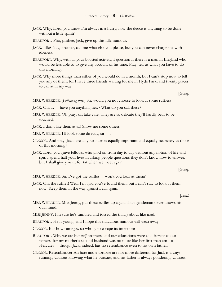- JACK. Why, Lord, you know I'm always in a hurry; how the deuce is anything to be done without a little spirit?
- BEAUFORT. Pho, prithee, Jack, give up this idle humour.
- JACK. Idle? Nay, brother, call me what else you please, but you can never charge me with idleness.
- BEAUFORT. Why, with all your boasted activity, I question if there is a man in England who would be less able to to give any account of his time. Pray, tell us what you have to do this morning.
- JACK. Why more things than either of you would do in a month, but I can't stop now to tell you any of them, for I have three friends waiting for me in Hyde Park, and twenty places to call at in my way.

[*Going.*

MRS. WHEEDLE. [*Following him.*] Sir, would you not choose to look at some ruffles?

JACK. Oh, ay— have you anything new? What do you call these?

- MRS. WHEEDLE. Oh pray, sir, take care! They are so delicate they'll hardly bear to be touched.
- JACK. I don't like them at all! Show me some others.

MRS. WHEEDLE. I'll look some directly, sir— .

- CENSOR. And pray, Jack, are all your hurries equally important and equally necessary as those of this morning?
- JACK. Lord, you grave fellows, who plod on from day to day without any notion of life and spirit, spend half your lives in asking people questions they don't know how to answer, but I shall give you tit for tat when we meet again.

[*Going.*

MRS. WHEEDLE. Sir, I've got the ruffles— won't you look at them?

JACK. Oh, the ruffles! Well, I'm glad you've found them, but I can't stay to look at them now. Keep them in the way against I call again.

[*Exit.*

- MRS. WHEEDLE. Miss Jenny, put these ruffles up again. That gentleman never knows his own mind.
- MISS JENNY. I'm sure he's tumbled and tossed the things about like mad.

BEAUFORT. He is young, and I hope this ridiculous humour will wear away.

- CENSOR. But how came *you* so wholly to escape its infection?
- BEAUFORT. Why we are but *half* brothers, and our educations were as different as our fathers, for my mother's second husband was no more like her first than am I to Hercules— though Jack, indeed, has no resemblance even to his own father.
- CENSOR. Resemblance? An hare and a tortoise are not more different; for Jack is always running, without knowing what he pursues, and his father is always pondering, without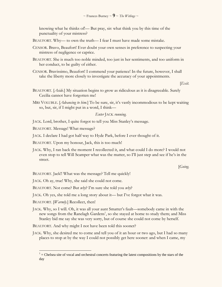knowing what he thinks of!— But pray, sir: what think you by this time of the punctuality of your mistress?

- BEAUFORT. Why— to own the truth— I fear I must have made some mistake.
- CENSOR. Bravo, Beaufort! Ever doubt your own senses in preference to suspecting your mistress of negligence or caprice.
- BEAUFORT. She is much too noble minded, too just in her sentiments, and too uniform in her conduct, to be guilty of either.
- CENSOR. Bravissimo, Beaufort! I commend your patience! In the future, however, I shall take the liberty more closely to investigate the accuracy of your appointments.

[*Exit.*

- BEAUFORT. [*Aside*.] My situation begins to grow as ridiculous as it is disagreeable. Surely Cecilia cannot have forgotten me!
- MRS VOLUBLE. [*Advancing to him.*] To be sure, sir, it's vastly incommodious to be kept waiting so, but, sir, if I might put in a word, I think—

#### *Enter* JACK *running.*

JACK. Lord, brother, I quite forgot to tell you Miss Stanley's message.

BEAUFORT. Message! What message?

JACK. I declare I had got half way to Hyde Park, before I ever thought of it.

BEAUFORT. Upon my honour, Jack, this is too much!

JACK. Why, I ran back the moment I recollected it, and what could I do more? I would not even stop to tell Will Scamper what was the matter, so I'll just step and see if he's in the street.

[*Going.*

BEAUFORT. Jack!! What was the message? Tell me quickly!

JACK. Oh ay, true! Why, she said she could not come.

BEAUFORT. Not come? But *why*? I'm sure she told you *why*?

JACK. Oh yes, she told me a long story about it— but I've forgot what it was.

BEAUFORT. [*Warmly.*] Recollect, then!

 $\overline{a}$ 

JACK. Why, so I will. Oh, it was all your aunt Smatter's fault—somebody came in with the new songs from the Ranelagh Gardens<sup>1</sup>, so she stayed at home to study them; and Miss Stanley bid me say she was very sorry, but of course she could not come by herself.

BEAUFORT. And why might I not have been told this sooner?

JACK. Why, she desired me to come and tell you of it an hour or two ago, but I had so many places to stop at by the way I could not possibly get here sooner: and when I came, my

 $1 =$ Chelsea site of vocal and orchestral concerts featuring the latest compositions by the stars of the day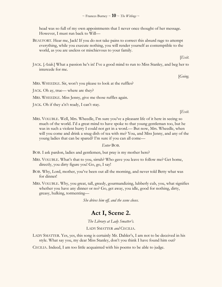head was so full of my own appointments that I never once thought of her message. However, I must run back to Will—

BEAUFORT. Hear me, Jack! If you do not take pains to correct this absurd rage to attempt everything, while you execute nothing, you will render yourself as contemptible to the world, as you are useless or mischievous to your family.

[*Exit.*

JACK. [*Aside*.] What a passion he's in! I've a good mind to run to Miss Stanley, and beg her to intercede for me.

[*Going.*

MRS. WHEEDLE. Sir, won't you please to look at the ruffles?

JACK. Oh ay, true— where are they?

MRS. WHEEDLE. Miss Jenny, give me those ruffles again.

JACK. Oh if they a'n't ready, I can't stay.

[*Exit.*

MRS. VOLUBLE. Well, Mrs. Wheedle, I'm sure you've a pleasant life of it here in seeing so much of the world. I'd a great mind to have spoke to that young gentleman too, but he was in such a violent hurry I could not get in a word.— But now, Mrs. Wheedle, when will you come and drink a snug dish of tea with me? You, and Miss Jenny, and any of the young ladies that can be spared? I'm sure if you can all come—

*Enter* BOB*.*

BOB. I ask pardon, ladies and gentlemen, but pray is my mother here?

- MRS. VOLUBLE. What's that to you, sirrah? Who gave you leave to follow me? Get home, directly, you dirty figure you! Go, go, I say!
- BOB. Why, Lord, mother, you've been out all the morning, and never told Betty what was for dinner!
- MRS. VOLUBLE. Why, you great, tall, greedy, gourmandizing, lubberly cub, you, what signifies whether you have any dinner or no? Go, get away, you idle, good for nothing, dirty, greasy, hulking, tormenting—

*She drives him off, and the scene closes.*

## **Act I, Scene 2.**

*The Library at Lady Smatter's.*

#### LADY SMATTER *and* CECILIA*.*

- LADY SMATTER. Yes, yes, this song is certainly Mr. Dabler's, I am not to be deceived in his style. What say you, my dear Miss Stanley, don't you think I have found him out?
- CECILIA. Indeed, I am too little acquainted with his poems to be able to judge.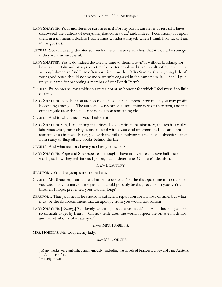- LADY SMATTER. Your indifference surprises me! For my part, I am never at rest till I have discovered the authors of everything that comes out;<sup>1</sup> and, indeed, I commonly hit upon them in a moment. I declare I sometimes wonder at myself when I think how lucky I am in my guesses.
- CECILIA. Your Ladyship devotes so much time to these researches, that it would be strange if they were unsuccessful.
- LADY SMATTER. Yes, I do indeed devote my time to them; I own<sup>2</sup> it without blushing, for how, as a certain author says, can time be better employed than in cultivating intellectual accomplishments? And I am often surprised, my dear Miss Stanley, that a young lady of your good sense should not be more warmly engaged in the same pursuit.—Shall I put up your name for becoming a member of our Esprit Party?
- CECILIA. By no means; my ambition aspires not at an honour for which I feel myself so little qualified.
- LADY SMATTER. Nay, but you are too modest; you can't suppose how much you may profit by coming among us. The authors always bring us something new of their own, and the critics regale us with manuscript notes upon something old.
- CECILIA. And in what class is your Ladyship?
- LADY SMATTER. Oh, I am among the critics. I love criticism passionately, though it is really laborious work, for it obliges one to read with a vast deal of attention. I declare I am sometimes so immensely fatigued with the toil of studying for faults and objections that I am ready to fling all my books behind the fire.
- CECILIA. And what authors have you chiefly criticized?
- LADY SMATTER. Pope and Shakespeare— though I have not, yet, read above half their works, so how they will fare as I go on, I can't determine. Oh, here's Beaufort.

*Enter* BEAUFORT*.*

BEAUFORT. Your Ladyship's most obedient.

- CECILIA. Mr. Beaufort, I am quite ashamed to see you! Yet the disappointment I occasioned you was as involuntary on my part as it could possibly be disagreeable on yours. Your brother, I hope, prevented your waiting long?
- BEAUFORT. That you meant he should is sufficient reparation for my loss of time; but what must be the disappointment that an apology from you would not soften?
- LADY SMATTER. [*Reading.*] 'Oh lovely, charming, beauteous maid,'— I wish this song was not so difficult to get by heart— Oh how little does the world suspect the private hardships and secret labours of a *belle esprit*! 3

*Enter* MRS. HOBBINS*.*

MRS. HOBBINS. Mr. Codger, my lady.

*Enter* MR. CODGER*.*

<sup>&</sup>lt;sup>1</sup> Many works were published anonymously (including the novels of Frances Burney and Jane Austen).<br><sup>2</sup> = Admit, confess

 $3 =$ Lady of wit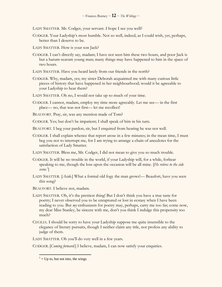LADY SMATTER. Mr. Codger, your servant. I hope I see you well?

- CODGER. Your Ladyship's most humble. Not so well, indeed, as I could wish, yet, perhaps, better than I deserve to be.
- LADY SMATTER. How is your son Jack?
- CODGER. I can't directly say, madam; I have not seen him these two hours, and poor Jack is but a harum-scarum young man; many things may have happened to him in the space of two hours.

LADY SMATTER. Have you heard lately from our friends in the north?

CODGER. Why, madam, yes; my sister Deborah acquainted me with many curious little pieces of history that have happened in her neighbourhood; would it be agreeable to your Ladyship to hear them?

LADY SMATTER. Oh no, I would not take up so much of your time.

- CODGER. I cannot, madam, employ my time more agreeably. Let me see— in the first place— no, that was not first— let me recollect!
- BEAUFORT. Pray, sir, was any mention made of Tom?
- CODGER. Yes; but don't be impatient; I shall speak of him in his turn.
- BEAUFORT. I beg your pardon, sir, but I enquired from hearing he was not well.
- CODGER. I shall explain whence that report arose in a few minutes; in the mean time, I must beg you not to interrupt me, for I am trying to arrange a chain of anecdotes for the satisfaction of Lady Smatter.

LADY SMATTER. Bless me, Mr. Codger, I did not mean to give you so much trouble.

- CODGER. It will be no trouble in the world, if your Ladyship will, for a while, forbear speaking to me, though the loss upon the occasion will be all mine. [*He retires to the side scene.* 1 ]
- LADY SMATTER. [*Aside.*] What a formal old fogy the man grows!— Beaufort, have you seen this song?
- BEAUFORT. I believe not, madam.
- LADY SMATTER. Oh, it's the prettiest thing! But I don't think you have a true taste for poetry; I never observed you to be enraptured or lost in ecstasy when I have been reading to you. But *my* enthusiasm for poetry may, perhaps, carry me too far; come now, my dear Miss Stanley, be sincere with me, don't you think I indulge this propensity too much?
- CECILIA. I should be sorry to have your Ladyship suppose me quite insensible to the elegance of literary pursuits, though I neither claim any title, nor profess any ability to judge of them.

LADY SMATTER. Oh you'll do very well in a few years.

CODGER. [*Coming forward.*] I believe, madam, I can now satisfy your enquiries.

 $1 =$  Up to, but not into, the wings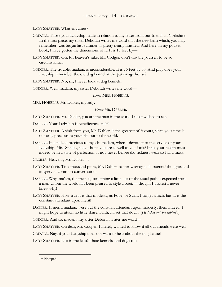$\sim$  Frances Burney  $\sim$  **13**  $\sim$  *The Witlings*  $\sim$ 

LADY SMATTER. What enquiries?

CODGER. Those your Ladyship made in relation to my letter from our friends in Yorkshire. In the first place, my sister Deborah writes me word that the new barn which, you may remember, was begun last summer, is pretty nearly finished. And here, in my pocket book, I have gotten the dimensions of it. It is 15 feet by—

LADY SMATTER. Oh, for heaven's sake, Mr. Codger, don't trouble yourself to be so circumstantial.

CODGER. The trouble, madam, is inconsiderable. It is 15 feet by 30. And pray does your Ladyship remember the old dog kennel at the parsonage house?

LADY SMATTER. No, sir; I never look at dog kennels.

CODGER. Well, madam, my sister Deborah writes me word—

*Enter* MRS. HOBBINS*.*

MRS. HOBBINS. Mr. Dabler, my lady.

#### *Enter* MR. DABLER*.*

LADY SMATTER. Mr. Dabler, you are the man in the world I most wished to see.

DABLER. Your Ladyship is beneficence itself!

- LADY SMATTER. A visit from you, Mr. Dabler, is the greatest of favours, since your time is not only precious to yourself, but to the world.
- DABLER. It is indeed precious to myself, madam, when I devote it to the service of your Ladyship. Miss Stanley, may I hope you are as well as you look? If so, your health must indeed be in a state of perfection; if not, never before did sickness wear so fair a mask.
- CECILIA. Heavens, Mr. Dabler—!
- LADY SMATTER. Tis a thousand pities, Mr. Dabler, to throw away such poetical thoughts and imagery in common conversation.
- DABLER. Why, ma'am, the truth is, something a little out of the usual path is expected from a man whom the world has been pleased to style a poet;— though I protest I never knew why!
- LADY SMATTER. How true is it that modesty, as Pope, or Swift, I forget which, has it, is the constant attendant upon merit!
- DABLER. If merit, madam, were but the constant attendant upon modesty, then, indeed, I might hope to attain no little share! Faith, I'll set that down. [*He takes out his tablets<sup>1</sup> .*]
- CODGER. And so, madam, my sister Deborah writes me word—

LADY SMATTER. Oh dear, Mr. Codger, I merely wanted to know if all our friends were well.

CODGER. Nay, if your Ladyship does not want to hear about the dog kennel—

LADY SMATTER. Not in the least! I hate kennels, and dogs too.

 $1 =$  Notepad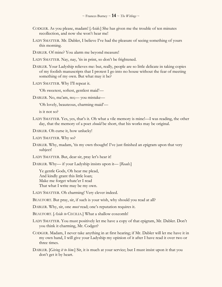CODGER. As you please, madam! [*Aside.*] She has given me the trouble of ten minutes recollection, and now she won't hear me!

LADY SMATTER. Mr. Dabler, I believe I've had the pleasure of seeing something of yours this morning.

DABLER. Of mine? You alarm me beyond measure!

LADY SMATTER. Nay, nay, 'tis in print, so don't be frightened.

DABLER. Your Ladyship relieves me: but, really, people are so little delicate in taking copies of my foolish manuscripts that I protest I go into no house without the fear of meeting something of my own. But what may it be?

LADY SMATTER. Why I'll repeat it.

'Oh sweetest, softest, gentlest maid'—

DABLER. No, ma'am, no;— you mistake—

'Oh lovely, beauteous, charming maid'—

is it not so?

LADY SMATTER. Yes, yes, that's it. Oh what a vile memory is mine!—I was reading, the other day, that the memory of a poet *should* be short, that his works may be original.

DABLER. Oh curse it, how unlucky!

LADY SMATTER. Why so?

DABLER. Why, madam, 'tis my own thought! I've just finished an epigram upon that very subject!

LADY SMATTER. But, dear sir, pray let's hear it!

DABLER. Why— if your Ladyship insists upon it— [*Reads.*]

Ye gentle Gods, Oh hear me plead, And kindly grant this little loan; Make me forget whate'er I read That what I write may be my own.

LADY SMATTER. Oh charming! Very clever indeed.

BEAUFORT. But pray, sir, if such is your wish, why should you read at all?

DABLER. Why, sir, one *must* read; one's reputation requires it.

BEAUFORT. [*Aside to* CECILIA*.*] What a shallow coxcomb!

- LADY SMATTER. You must positively let me have a copy of that epigram, Mr. Dabler. Don't you think it charming, Mr. Codger?
- CODGER. Madam, I never take anything in at first hearing; if Mr. Dabler will let me have it in my own hand, I will give your Ladyship my opinion of it after I have read it over two or three times.
- DABLER. [*Giving it to him*.] Sir, it is much at your service; but I must insist upon it that you don't get it by heart.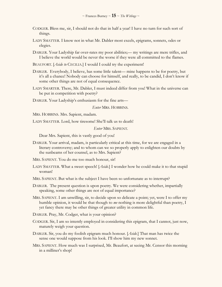- CODGER. Bless me, sir, I should not do that in half a year! I have no turn for such sort of things.
- LADY SMATTER. I know not in what Mr. Dabler most excels, epigrams, sonnets, odes or elegies.
- DABLER. Your Ladyship far over-rates my poor abilities;— my writings are mere trifles, and I believe the world would be never the worse if they were all committed to the flames.
- BEAUFORT. [*Aside to* CECILIA*.*] I would I could try the experiment!
- DABLER. Everybody, I believe, has some little talent— mine happens to be for poetry, but it's all a chance! Nobody can choose for himself, and really, to be candid, I don't know if some other things are not of equal consequence.
- LADY SMARTER. There, Mr. Dabler, I must indeed differ from you! What in the universe can be put in competition with poetry?
- DABLER. Your Ladyship's enthusiasm for the fine arts—

*Enter* MRS. HOBBINS*.*

MRS. HOBBINS. Mrs. Sapient, madam.

LADY SMATTER. Lord, how tiresome! She'll talk us to death!

*Enter* MRS. SAPIENT*.*

Dear Mrs. Sapient, this is vastly good of you!

DABLER. Your arrival, madam, is particularly critical at this time, for we are engaged in a literary controversy; and to whom can we so properly apply to enlighten our doubts by the sunbeams of her counsel, as to Mrs. Sapient?

MRS. SAPIENT. You do me too much honour, sir!

- LADY SMATTER. What a sweet speech! [*Aside.*] I wonder how he could make it to that stupid woman!
- MRS. SAPIENT. But what is the subject I have been so unfortunate as to interrupt?
- DABLER. The present question is upon poetry. We were considering whether, impartially speaking, some other things are not of equal importance?
- MRS. SAPIENT. I am unwilling, sir, to decide upon so delicate a point; yet, were I to offer my humble opinion, it would be that though to *me* nothing is more delightful than poetry, I yet fancy there may be other things of greater utility in common life.

DABLER. Pray, Mr. Codger, what is your opinion?

- CODGER. Sir, I am so intently employed in considering this epigram, that I cannot, just now, maturely weigh your question.
- DABLER. Sir, you do my foolish epigram much honour. [*Aside.*] That man has twice the sense one would suppose from his look. I'll show him my new sonnet.
- MRS. SAPIENT. How much was I surprised, Mr. Beaufort, at seeing Mr. Censor this morning in a milliner's shop!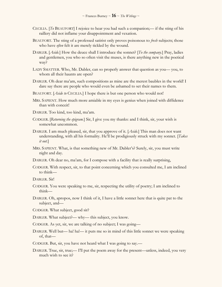- CECILIA. [*To* BEAUFORT] I rejoice to hear you had such a companion;— if the sting of his raillery did not inflame your disappointment and vexation.
- BEAUFORT. The sting of a professed satirist only proves poisonous to *fresh* subjects; those who have *often* felt it are merely tickled by the wound.
- DABLER. [*Aside.*] How the deuce shall I introduce the sonnet? [*To the company.*] Pray, ladies and gentlemen, you who so often visit the muses, is there anything new in the poetical way?
- LADY SMATTER. Who, Mr. Dabler, can so properly answer that question as you— you, to whom all their haunts are open?
- DABLER. Oh dear ma'am, such compositions as mine are the merest baubles in the world! I dare say there are people who would even be ashamed to set their names to them.
- BEAUFORT. [*Aside to* CECILIA*.*] I hope there is but one person who would not!
- MRS. SAPIENT. How much more amiable in my eyes is genius when joined with diffidence than with conceit!
- DABLER. Too kind, too kind, ma'am.
- CODGER. [*Returning the epigram.*] Sir, I give you my thanks: and I think, sir, your wish is somewhat uncommon.
- DABLER. I am much pleased, sir, that you approve of it. [*Aside.*] This man does not want understanding, with all his formality. He'll be prodigiously struck with my sonnet. [*Takes it out*.]
- MRS. SAPIENT. What, is that something new of Mr. Dabler's? Surely, sir, you must write night and day.
- DABLER. Oh dear no, ma'am, for I compose with a facility that is really surprising,
- CODGER. With respect, sir, to that point concerning which you consulted me, I am inclined to think—

DABLER. Sir!

- CODGER. You were speaking to me, sir, respecting the utility of poetry; I am inclined to think—
- DABLER. Oh, apropos, now I think of it, I have a little sonnet here that is quite pat to the subject, and—
- CODGER. What subject, good sir?

DABLER. What subject?— why— this subject, you know.

CODGER. As yet, sir, we are talking of no subject; I was going—

DABLER. Well but— ha! ha!— it puts me so in mind of this little sonnet we were speaking of, that—

CODGER. But, sir, you have not heard what I was going to say.—

DABLER. True, sir, true;— I'll put the poem away for the present—unless, indeed, you very much wish to see it?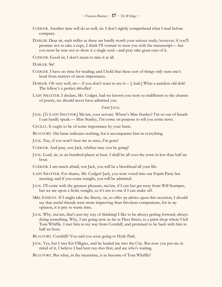- CODGER. Another time will do as well, sir. I don't rightly comprehend what I read before company.
- DABLER. Dear sir, such trifles as these are hardly worth your serious study; however, if you'll promise not to take a copy, I think I'll venture to trust you with the manuscript— but you must be sure not to show it a single soul—and pray take great care of it.
- CODGER. Good sir, I don't mean to take it at all.
- DABLER. Sir!
- CODGER. I have no time for reading; and I hold that these sort of things only turn one's head from matters of more importance.
- DABLER. Oh very well, sir—if you don't want to see it—[Aside.] What a tasteless old dolt! The fellow's a perfect driveller!
- LADY SMATTER. I declare, Mr. Codger, had we known you were so indifferent to the charms of poetry, we should never have admitted you.

#### *Enter* JACK*.*

JACK. [*To* LADY SMATTER*.*] Ma'am, your servant. Where's Miss Stanley? I'm so out of breath I can hardly speak.— Miss Stanley, I'm come on purpose to tell you some news.

CECILIA. It ought to be of some importance by your haste.

BEAUFORT. His haste indicates nothing, for it accompanies him in everything.

JACK. Nay, if you won't hear me at once, I'm gone!

CODGER. And pray, son Jack, whither may you be going?

JACK. Lord, sir, to an hundred places at least. I shall be all over the town in less than half an hour.

CODGER. I am much afraid, son Jack, you will be a blockhead all your life.

- LADY SMATTER. For shame, Mr. Codger! Jack, you were voted into our Esprit Party last meeting; and if you come tonight, you will be admitted.
- JACK. I'll come with the greatest pleasure, ma'am, if I can but get away from Will Scamper, but we are upon a frolic tonight, so it's ten to one if I can make off.
- MRS. SAPIENT. If I might take the liberty, sir, to offer *my* advice upon this occasion, I should say that useful friends were more improving than frivolous companions, for in *my* opinion, it is pity to waste time.
- JACK. Why, ma'am, that's just my way of thinking! I like to be always getting forward, always doing something. Why, I am going now as far as Fleet Street, to a print shop where I left Tom Whiffle. I met him in my way from Cornhill, and promised to be back with him in half an hour.

BEAUFORT. Cornhill? You said you were going to Hyde Park.

JACK. Yes, but I met Kit Filligree, and he hauled me into the City. But now you put me in mind of it, I believe I had best run *there* first, and see who's waiting.

BEAUFORT. But what, in the meantime, is to become of Tom Whiffle?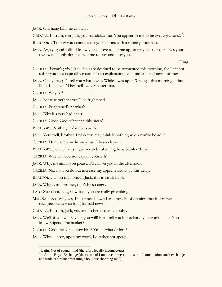$\sim$  Frances Burney  $\sim$  **18**  $\sim$  *The Witlings*  $\sim$ 

JACK. Oh, hang him, he can wait.

CODGER. In truth, son Jack, you scandalize me! You appear to me to be *non compos mentis<sup>1</sup>* !

BEAUFORT. Tis pity you cannot change situations with a running footman.

JACK. Ay, ay, good folks, I know you all love to cut me up, so pray amuse yourselves your own way— only don't expect me to stay and hear you.

[*Going.*

- CECILIA. [*Following him.*] Jack! You are destined to be tormented this morning, for I cannot suffer you to escape till we come to an explanation: you said you had news for me?
- JACK. Oh ay, true; I'll tell you what it was. While I was upon 'Change<sup>2</sup> this morning— but hold, I believe I'd best tell Lady Smatter first.

CECILIA. Why so?

JACK. Because perhaps you'll be frightened.

CECILIA. Frightened? At what?

JACK. Why it's very bad news.

CECILIA. Good God, what can this mean?

BEAUFORT. Nothing, I dare be sworn.

JACK. Very well, brother! I wish you may think it nothing when you've heard it.

CECILIA. Don't keep me in suspense, I beseech you.

BEAUFORT. Jack, what is it you mean by alarming Miss Stanley thus?

CECILIA. Why will you not explain yourself?

JACK. Why, ma'am, if you please, I'll call on you in the afternoon.

CECILIA. No, no, you do but increase my apprehensions by this delay.

BEAUFORT. Upon my honour, Jack, this is insufferable!

JACK. Why Lord, brother, don't be so angry.

LADY SMATTER. Nay, now Jack, you are really provoking.

MRS. SAPIENT. Why yes, I must needs own I am, myself, of opinion that it is rather disagreeable to wait long for bad news.

CODGER. In truth, Jack, you are no better than a booby.

- JACK. Well, if you will have it, you will! But I tell you beforehand you won't like it. You know Stipend, the banker?
- CECILIA. Good heaven, know him? Yes— what of him?
- JACK. Why— now, upon my word, I'd rather not speak.

<sup>&</sup>lt;sup>1</sup> Latin: Not of sound mind (therefore legally incompetent)

 $2 = At$  the Royal Exchange (the centre of London commerce— a sort of combination stock exchange and trade centre incorporating a boutique shopping mall)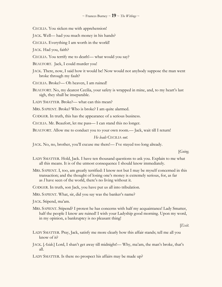CECILIA. You sicken me with apprehension!

JACK. Well— had you much money in his hands?

CECILIA. Everything I am worth in the world!

JACK. Had you, faith?

CECILIA. You terrify me to death!— what would you say?

BEAUFORT. Jack, I could murder you!

JACK. There, now, I said how it would be! Now would not anybody suppose the man went broke through my fault?

CECILIA. Broke?— Oh heaven, I am ruined!

BEAUFORT. No, my dearest Cecilia, your safety is wrapped in mine, and, to my heart's last sigh, they shall be inseparable.

LADY SMATTER. Broke?— what can this mean?

MRS. SAPIENT. Broke? Who is broke? I am quite alarmed.

CODGER. In truth, this has the appearance of a serious business.

CECILIA. Mr. Beaufort, let me pass— I can stand this no longer.

BEAUFORT. Allow me to conduct you to your own room.— Jack, wait till I return!

#### *He leads* CECILIA *out.*

JACK. No, no, brother, you'll excuse me there!— I've stayed too long already.

#### [*Going.*

- LADY SMATTER. Hold, Jack. I have ten thousand questions to ask you. Explain to me what all this means. It is of the utmost consequence I should know immediately.
- MRS. SAPIENT. I, too, am greatly terrified: I know not but I may be myself concerned in this transaction; and the thought of losing one's money is extremely serious, for, as far as *I* have seen of the world, there's no living without it.

CODGER. In truth, son Jack, you have put us all into tribulation.

MRS. SAPIENT. What, sir, did you say was the banker's name?

JACK. Stipend, ma'am.

MRS. SAPIENT. Stipend? I protest he has concerns with half my acquaintance! Lady Smatter, half the people I know are ruined! I wish your Ladyship good morning. Upon my word, in my opinion, a bankruptcy is no pleasant thing!

[*Exit.*

- LADY SMATTER. Pray, Jack, satisfy me more clearly how this affair stands; tell me all you know of it?
- JACK. [*Aside.*] Lord, I shan't get away till midnight!— Why, ma'am, the man's broke, that's all.

LADY SMATTER. Is there no prospect his affairs may be made up?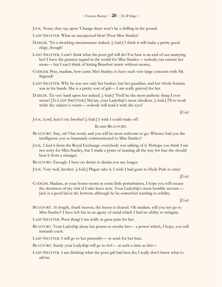JACK. None; they say upon 'Change there won't be a shilling in the pound.

LADY SMATTER. What an unexpected blow! Poor Miss Stanley!

- DABLER. 'Tis a shocking circumstance indeed. [*Aside.*] I think it will make a pretty good elegy, though!
- LADY SMATTER. I can't think what the poor girl will do! For here is an end of our marrying her! I have the greatest regard in the world for Miss Stanley— nobody can esteem her more— but I can't think of letting Beaufort marry without money.
- CODGER. Pray, madam, how came Miss Stanley to have such very large concerns with Mr. Stipend?
- LADY SMATTER. Why he was not only her banker, but her guardian, and her whole fortune was in his hands. She is a pretty sort of girl— I am really grieved for her.
- DABLER. Tis very hard upon her indeed. [*Aside.*] 'Twill be the most pathetic thing I ever wrote! [*To* LADY SMATTER*.*] Ma'am, your Ladyship's most obedient. [*Aside.*] I'll to work while the subject is warm— nobody will read it with dry eyes!

[*Exit.*

JACK. Lord, here's my brother! [*Aside*.] I wish I could make off.

#### *Re-enter* BEAUFORT*.*

- BEAUFORT. Stay, sir! One word, and you will be most welcome to go. Whence had you the intelligence you so humanely communicated to Miss Stanley?
- JACK. I had it from the Royal Exchange: everybody was talking of it. Perhaps you think I am not sorry for Miss Stanley, but I made a point of running all the way for fear she should hear it from a stranger.

BEAUFORT. Enough. I have no desire to detain you any longer.

JACK. Very well, brother. [*Aside*.] Plague take it, I wish I had gone to Hyde Park at once!

[*Exit.*

CODGER. Madam, as your house seems in some little perturbation, I hope you will excuse the shortness of my visit if I take leave now. Your Ladyship's most humble servant.— Jack is a good lad at the bottom, although he be somewhat wanting in solidity.

[*Exit.*

BEAUFORT. At length, thank heaven, the house is cleared. Oh madam, will you not go to Miss Stanley? I have left her in an agony of mind which I had no ability to mitigate.

LADY SMATTER. Poor thing! I am really in great pain for her.

BEAUFORT. Your Ladyship alone has power to soothe her— a power which, I hope, you will instantly exert.

LADY SMATTER. I will go to her presently— or send for her here.

BEAUFORT. Surely your Ladyship will go to *her*?— at such a time as this—

LADY SMATTER. I am thinking what the poor girl had best do; I really don't know what to advise.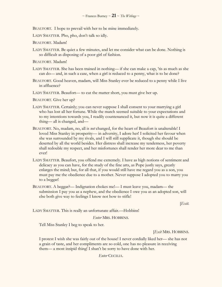$\sim$  Frances Burney  $\sim$  **21**  $\sim$  *The Witlings*  $\sim$ 

BEAUFORT. I hope to prevail with her to be mine immediately.

LADY SMATTER. Pho, pho, don't talk so idly.

BEAUFORT. Madam!

LADY SMATTER. Be quiet a few minutes, and let me consider what can be done. Nothing is so difficult as disposing of a poor girl of fashion.

BEAUFORT. Madam!

LADY SMATTER. She has been trained in nothing— if she can make a cap, 'tis as much as she can do— and, in such a case, when a girl is reduced to a penny, what is to be done?

BEAUFORT. Good heaven, madam, will Miss Stanley ever be reduced to a penny while I live in affluence?

LADY SMATTER. Beaufort— to cut the matter short, you must give her up.

BEAUFORT. Give her up?

LADY SMATTER. Certainly; you can never suppose I shall consent to your marrying a girl who has lost all her fortune. While the match seemed suitable to your expectations and to my intentions towards you, I readily countenanced it, but now it is quite a different thing— all is changed, and—

BEAUFORT. No, madam, no, all is *not* changed, for the heart of Beaufort is unalterable! I loved Miss Stanley in prosperity— in adversity, I adore her! I solicited her favour when she was surrounded by my rivals, and I will still supplicate it, though she should be deserted by all the world besides. Her distress shall increase my tenderness, her poverty shall redouble my respect, and her misfortunes shall render her more dear to me than ever!

LADY SMATTER. Beaufort, you offend me extremely. I have as high notions of sentiment and delicacy as you can have, for the study of the fine arts, as Pope justly says, greatly enlarges the mind; but, for all that, if you would still have me regard you as a son, you must pay me the obedience due to a mother. Never suppose I adopted you to marry you to a beggar!

BEAUFORT. A beggar?— Indignation chokes me!— I must leave you, madam— the submission I pay you as a nephew, and the obedience I owe you as an adopted son, will else both give way to feelings I know not how to stifle!

[*Exit.*

LADY SMATTER. This is really an unfortunate affair.—Hobbins!

*Enter* MRS. HOBBINS*.*

Tell Miss Stanley I beg to speak to her.

[*Exit* MRS. HOBBINS*.*

I protest I wish she was fairly out of the house! I never cordially liked her— she has not a grain of taste, and her compliments are so cold, one has no pleasure in receiving them— a most insipid thing! I shan't be sorry to have done with her.

*Enter* CECILIA*.*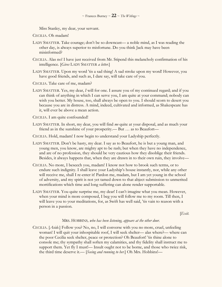Miss Stanley, my dear, your servant.

CECILIA. Oh madam!

- LADY SMATTER. Take courage; don't be so downcast— a noble mind, as I was reading the other day, is always superior to misfortune. Do you think Jack may have been misinformed?
- CECILIA. Alas no! I have just received from Mr. Stipend this melancholy confirmation of his intelligence. [*Gives* LADY SMATTER *a letter.*]
- LADY SMATTER. Upon my word 'tis a sad thing! A sad stroke upon my word! However, you have good friends, and such as, I dare say, will take care of you.
- CECILIA. Take care of me, madam?
- LADY SMATTER. Yes, my dear, *I* will for one. I assure you of my continued regard; and if you can think of anything in which I can serve you, I am quite at your command; nobody can wish you better. My house, too, shall always be open to you. I should scorn to desert you because you are in distress. A mind, indeed, cultivated and informed, as Shakespeare has it, will ever be above a mean action.

CECILIA. I am quite confounded!

- LADY SMATTER. In short, my dear, you will find *me* quite at your disposal, and as much your friend as in the sunshine of your prosperity.— But … as to Beaufort—
- CECILIA. Hold, madam! I now begin to understand your Ladyship perfectly.
- LADY SMATTER. Don't be hasty, my dear. I say as to Beaufort, he is but a young man, and young men, you know, are mighty apt to be rash; but when they have no independence, and are of no profession, they should be very cautious how they disoblige their friends. Besides, it always happens that, when they are drawn in to their own ruin, they involve—
- CECILIA. No more, I beseech you, madam! I know not how to brook such terms, or to endure such indignity. I shall leave your Ladyship's house instantly, nor, while any other will receive me, shall I re-enter it! Pardon me, madam, but I am yet young in the school of adversity, and my spirit is not yet tamed down to that abject submission to unmerited mortifications which time and long suffering can alone render supportable.
- LADY SMATTER. You quite surprise me, my dear! I can't imagine what you mean. However, when your mind is more composed, I beg you will follow me to my room. Till then, I will leave you to your meditations, for, as Swift has well said, 'tis vain to reason with a person in a passion.

[*Exit.*

#### MRS. HOBBINS*, who has been listening, appears at the other door.*

CECILIA. [*Aside*.] Follow you? No, no, I will converse with you no more, cruel, unfeeling woman! I will quit your inhospitable roof, I will seek shelter— alas where?— where can the poor Cecilia seek shelter, peace or protection? Oh Beaufort! 'tis thine alone to console me; thy sympathy shall soften my calamities, and thy fidelity shall instruct me to support them. Yet fly I must!— Insult ought not to be borne, and those who twice risk, the third time deserve it.— [*Seeing and running to her*.] Oh Mrs. Hobbins!—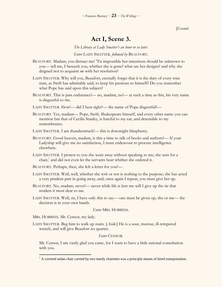[*Exeunt.*

## **Act I, Scene 3.**

*The Library at Lady Smatter's an hour or so later.*

*Enter* LADY SMATTER*, followed by* BEAUFORT*.*

- BEAUFORT. Madam, you distract me! 'Tis impossible her intentions should be unknown to you— tell me, I beseech you, whither she is gone? what are her designs? and why she deigned not to acquaint *me* with her resolution?
- LADY SMATTER. Why will you, Beaufort, eternally forget that it is the duty of every wise man, as Swift has admirably said, to keep his passions to himself? Do you remember what Pope has said upon this subject?
- BEAUFORT. This is past endurance!— no, madam, no!— at such a time as this, his very name is disgustful to me.

LADY SMATTER. How!— did I hear right?— the name of Pope disgustful?—

BEAUFORT. Yes, madam— Pope, Swift, Shakespeare himself, and every other name you can mention but that of Cecilia Stanley, is hateful to my ear, and detestable to my remembrance.

LADY SMATTER. I am thunderstruck!— this is downright blasphemy.

- BEAUFORT. Good heaven, madam, is this a time to talk of books and authors?— If your Ladyship will give me no satisfaction, I must endeavour to procure intelligence elsewhere.
- LADY SMATTER. I protest to you she went away without speaking to me; she sent for a chair,<sup>1</sup> and did not even let the servants hear whither she ordered it.

BEAUFORT. Perhaps, then, she left a letter for you?—

- LADY SMATTER. Well, well, whether she writ or not is nothing to the purpose; she has acted a very prudent part in going away, and, once again I repeat, you must give her up.
- BEAUFORT. No, madam, never!— never while life is lent me will I give up the tie that renders it most dear to me.
- LADY SMATTER. Well, sir, I have only this to say— one must be given up, she or me— the decision is in your own hands.

#### *Enter* MRS. HOBBINS*.*

MRS. HOBBINS*.* Mr. Censor, my lady.

LADY SMATTER. Beg him to walk up stairs. [*Aside.*] He is a sour, morose, ill-tempered wretch, and will give Beaufort no quarter.

#### *Enter* CENSOR*.*

Mr. Censor, I am vastly glad you came, for I want to have a little rational consultation with you.

 $<sup>1</sup>$  A covered sedan chair carried by two sturdy chairmen was a principle means of hired transportation.</sup>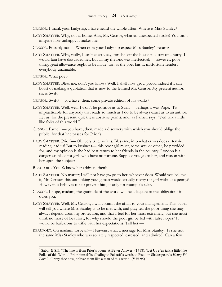- CENSOR. I thank your Ladyship. I have heard the whole affair. Where is Miss Stanley?
- LADY SMATTER. Why, not at home. Alas, Mr. Censor, what an unexpected stroke! You can't imagine how unhappy it makes me.
- CENSOR. Possibly not.— When does your Ladyship expect Miss Stanley's return?
- LADY SMATTER. Why, really, I can't exactly say, for she left the house in a sort of a hurry. I would fain have dissuaded her, but all my rhetoric was ineffectual;— however, poor thing, great allowance ought to be made, for, as the poet has it, misfortune renders everybody unamiable.
- CENSOR. What poet?

- LADY SMATTER. Bless me, don't you know? Well, I shall now grow proud indeed if I can boast of making a quotation that is new to the learned Mr. Censor. My present author, sir, is Swift.
- CENSOR. Swift?— you have, then, some private edition of his works?
- LADY SMATTER. Well, well, I won't be positive as to Swift— perhaps it was Pope. 'Tis impracticable for anybody that reads so much as I do to be always exact as to an author. Let us, for the present, quit these abstruse points, and, as Parnell says, "e'en talk a little like folks of this world."
- CENSOR. Parnell?— you have, then, made a discovery with which you should oblige the public, for that line passes for Prior's.<sup>1</sup>
- LADY SMATTER. Prior?— Oh, very true, so it is. Bless me, into what errors does extensive reading lead us! But to business— this poor girl must, some way or other, be provided for, and my opinion is she had best return to her friends in the country. London is a dangerous place for girls who have no fortune. Suppose you go to her, and reason with her upon the subject?
- BEAUFORT. You *do* know her address, then?
- LADY SMATTER. No matter; I will not have *you* go to her, whoever does. Would you believe it, Mr. Censor, this unthinking young man would actually marry the girl without a penny? However, it behoves me to prevent him, if only for example's sake.
- CENSOR. I hope, madam, the gratitude of the world will be adequate to the obligations it owes you.
- LADY SMATTER. Well, Mr. Censor, I will commit the affair to your management. This paper will tell you where Miss Stanley is to be met with, and pray tell the poor thing she may always depend upon my protection, and that I feel for her most extremely; but she must think no more of Beaufort, for why should the poor girl be fed with false hopes? It would be barbarous to trifle with her expectations! Tell her —
- BEAUFORT. Oh madam, forbear!— Heavens, what a message for Miss Stanley! Is she not the same Miss Stanley who was so lately respected, caressed, and admired? Can a few

<sup>&</sup>lt;sup>1</sup> Sabor & Sill: "The line is from Prior's poem 'A Better Answer' (1718): 'Let Us e'en talk a little like Folks of this World.' Prior himself is alluding to Falstaff's words to Pistol in Shakespeare's *Henry IV Part 2*: 'I pray thee now, deliver them like a man of this world' (V.iii.95)."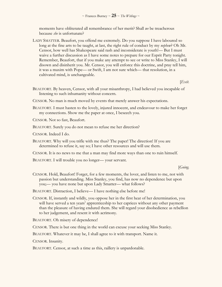moments have obliterated all remembrance of her merit? Shall *we* be treacherous because *she* is unfortunate?

LADY SMATTER. Beaufort, you offend me extremely. Do you suppose I have laboured so long at the fine arts to be taught, at last, the right rule of conduct by my *nephew*? Oh Mr. Censor, how well has Shakespeare said rash and inconsiderate is youth!— But I must waive a further discussion as I have some notes to prepare for our Esprit Party tonight. Remember, Beaufort, that if you make any attempt to see or write to Miss Stanley, I will disown and disinherit you. Mr. Censor, you will enforce this doctrine, and pray tell him, it was a maxim with Pope— or Swift, I am not sure which— that resolution, in a cultivated mind, is unchangeable.

[*Exit.*

- BEAUFORT. By heaven, Censor, with all your misanthropy, I had believed you incapable of listening to such inhumanity without concern.
- CENSOR. No man is much moved by events that merely answer his expectations.
- BEAUFORT. I must hasten to the lovely, injured innocent, and endeavour to make her forget my connections. Show me the paper at once, I beseech you.

CENSOR. Not so fast, Beaufort.

BEAUFORT. Surely you do not mean to refuse me her direction?

CENSOR. Indeed I do.

BEAUFORT. Why will you trifle with me thus? The paper! The direction! If you are determined to refuse it, say so; I have other resources and will use them.

CENSOR. It is no news to me that a man may find more ways than one to ruin himself.

BEAUFORT. I will trouble you no longer— your servant.

[*Going.*

CENSOR. Hold, Beaufort! Forget, for a few moments, the lover, and listen to me, not with passion but understanding. Miss Stanley, you find, has now no dependence but upon you;— you have none but upon Lady Smatter— what follows?

BEAUFORT. Distraction, I believe— I have nothing else before me!

CENSOR. If, instantly and wildly, you oppose her in the first heat of her determination, you will have served a ten years' apprenticeship to her caprices without any other payment than the pleasure of having endured them. She will regard your disobedience as rebellion to her judgement, and resent it with acrimony.

BEAUFORT. Oh misery of dependence!

CENSOR. There is but one thing in the world can excuse your seeking Miss Stanley.

BEAUFORT. Whatever it may be, I shall agree to it with transport. Name it.

CENSOR. Insanity.

BEAUFORT. Censor, at such a time as this, raillery is unpardonable.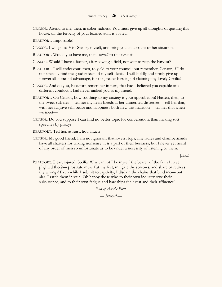$\sim$  Frances Burney  $\sim$  **26**  $\sim$  *The Witlings*  $\sim$ 

- CENSOR. Attend to me, then, in sober sadness. You must give up all thoughts of quitting this house, till the ferocity of your learned aunt is abated.
- BEAUFORT. Impossible!
- CENSOR. I will go to Miss Stanley myself, and bring you an account of her situation.
- BEAUFORT. Would you have me, then, *submit* to this tyrant?
- CENSOR. Would I have a farmer, after sowing a field, not wait to reap the harvest?
- BEAUFORT. I will endeavour, then, to yield to your counsel; but remember, Censor, if I do not speedily find the good effects of my self-denial, I will boldly and firmly give up forever all hopes of advantage, for the greater blessing of claiming my lovely Cecilia!
- CENSOR. And do you, Beaufort, remember in turn, that had I believed you capable of a different conduct, I had never ranked you as my friend.
- BEAUFORT. Oh Censor, how soothing to my anxiety is your approbation! Hasten, then, to the sweet sufferer— tell her my heart bleeds at her unmerited distresses— tell her that, with her fugitive self, peace and happiness both flew this mansion— tell her that when we meet—
- CENSOR. Do you suppose I can find no better topic for conversation, than making soft speeches by proxy?
- BEAUFORT. Tell her, at least, how much—
- CENSOR. My good friend, I am not ignorant that lovers, fops, fine ladies and chambermaids have all charters for talking nonsense; it is a part of their business; but I never yet heard of any order of men so unfortunate as to be under a necessity of listening to them.

[*Exit.*

BEAUFORT. Dear, injured Cecilia! Why cannot I be myself the bearer of the faith I have plighted thee?— prostrate myself at thy feet, mitigate thy sorrows, and share or redress thy wrongs! Even while I submit to captivity, I disdain the chains that bind me— but alas, I rattle them in vain! Oh happy those who to their own industry owe their subsistence, and to their own fatigue and hardships their rest and their affluence!

*End of Act the First.*

*— Interval —*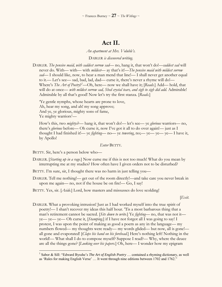## **Act II.**

*An apartment at Mrs. Voluble's.*

DABLER *is discovered writing.*

DABLER. *The pensive maid, with saddest sorrow sad—* no, hang it, that won't do!—*saddest sad* will never do. With— with— with *mildest*— ay that's it!—*The pensive maid with mildest sorrow sad—* I should like, now, to hear a man mend that line!— I shall never get another equal to it.— Let's see— sad, bad, lad, dad— curse it, there's never a rhyme will do!— Where's *The Art of Poetry*? <sup>1</sup>—Oh, here— now we shall have it; [*Reads.*] Add— hold, that will do at once— *with mildest sorrow sad, Shed crystal tears, and sigh to sigh did add.* Admirable! Admirable by all that's good! Now let's try the first stanza. [*Reads.*]

'Ye gentle nymphs, whose hearts are prone to love, Ah, hear my song, and ah! my song approve; And ye, ye glorious, mighty sons of fame, Ye mighty warriors'—

How's this, two *mightys*?— hang it, that won't do!— let's see— ye *glorious* warriors— no, there's *glorious* before— Oh curse it, now I've got it all to do over again!— just as I thought I had finished it!— ye *fighting*— no— ye *towering*, no;— ye— ye— ye— I have it, by Apollo!

#### *Enter* BETTY*.*

BETTY. Sir, here's a person below who—

 $\overline{a}$ 

- DABLER. [*Starting up in a rage.*] Now curse me if this is not too much! What do you mean by interrupting me at my studies? How often have I given orders not to be disturbed?
- BETTY. I'm sure, sir, I thought there was no harm in just telling you—
- DABLER. Tell me nothing!— get out of the room directly!—and take care you never break in upon me again— no, not if the house be on fire!— Go, I say!

BETTY. Yes, sir. [*Aside.*] Lord, how masters and missusses do love scolding!

[*Exit.*

DABLER. What a provoking intrusion! Just as I had worked myself into the true spirit of poetry!— I shan't recover my ideas this half hour. 'Tis a most barbarous thing that a man's retirement cannot be sacred. [*Sits down to write*.] Ye *fighting*— no, that was not it ye— ye— ye— Oh curse it, [*Stamping.*] if I have not forgot all I was going to say! I protest, I was upon the point of making as good a poem as any in the language— my numbers flowed— my thoughts were ready— my words glided— but now, all is gone! all gone and evaporated! [*Claps his hand on his forehead.*] Here's nothing left! Nothing in the world!— What shall I do to compose myself? Suppose I read?— Why, where the deuce are all the things gone? [*Looking over his papers.*] Oh, here— I wonder how my epigram

<sup>&</sup>lt;sup>1</sup> Sabor & Sill: "Edward Bysshe's *The Art of English Poetry* ... contained a rhyming dictionary, as well as 'Rules for making English Verse' … It went through nine editions between 1702 and 1762."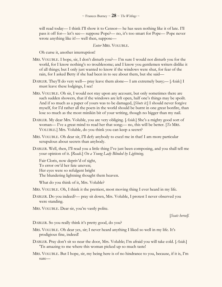will read today— I think I'll show it to Censor— he has seen nothing like it of late. I'll pass it off for— let's see— suppose Pope?— no, it's too smart for Pope— Pope never wrote anything like it!— well then, suppose—

#### *Enter* MRS. VOLUBLE*.*

Oh curse it, another interruption!

- MRS. VOLUBLE. I hope, sir, I don't disturb you?— I'm sure I would not disturb you for the world, for I know nothing's so troublesome; and I know you gentlemen writers dislike it of all things; but I only just wanted to know if the windows were shut, for fear of the rain, for I asked Betty if she had been in to see about them, but she said—
- DABLER. They'll do very well— pray leave them alone— I am extremely busy;— [*Aside.*] I must leave these lodgings, I see!
- MRS. VOLUBLE. Oh sir, I would not stay upon any account, but only sometimes there are such sudden showers, that if the windows are left open, half one's things may be spoilt. And if so much as a paper of yours was to be damaged, [*Shuts it*.] I should never forgive myself, for I'd rather all the poets in the world should be burnt in one great bonfire, than lose so much as the most minikin bit of your writing, though no bigger than my nail.
- DABLER. My dear Mrs. Voluble, you are very obliging. [*Aside.*] She's a mighty good sort of woman— I've a great mind to read her that song;— no, this will be better. [*To* MRS. VOLUBLE*.*] Mrs. Voluble, do you think you can keep a secret?
- MRS. VOLUBLE. Oh dear sir, I'll defy anybody to excel me in that! I am more particular scrupulous about secrets than anybody.
- DABLER. Well, then, I'll read you a little thing I've just been composing, and you shall tell me your opinion of it. [*Reads.*] *On a Young Lady Blinded by Lightning.*

 Fair Cloris, now depriv'd of sight, To error ow'd her fate uneven; Her eyes were so refulgent bright The blundering lightning thought them heaven.

What do you think of it, Mrs. Voluble?

MRS. VOLUBLE. Oh, I think it the prettiest, most moving thing I ever heard in my life.

DABLER. Do you indeed?— pray sit down, Mrs. Voluble, I protest I never observed you were standing.

MRS. VOLUBLE. Dear sir, you're vastly polite.

[*Seats herself.*

DABLER. So you really think it's pretty good, do you?

- MRS. VOLUBLE. Oh dear yes, sir; I never heard anything I liked so well in my life. It's prodigious fine, indeed!
- DABLER. Pray don't sit so near the door, Mrs. Voluble; I'm afraid you will take cold. [*Aside.*] 'Tis amazing to me where this woman picked up so much taste!
- MRS. VOLUBLE. But I hope, sir, my being here is of no hindrance to you, because, if it is, I'm sure—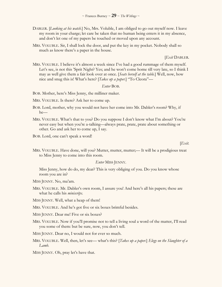- DABLER. [*Looking at his watch.*] No, Mrs. Voluble, I am obliged to go out myself now. I leave my room in your charge; let care be taken that no human being enters it in my absence, and don't let one of my papers be touched or moved upon any account.
- MRS. VOLUBLE. Sir, I shall lock the door, and put the key in my pocket. Nobody shall so much as know there's a paper in the house.

[*Exit* DABLER*.*

MRS. VOLUBLE. I believe it's almost a week since I've had a good rummage of them myself. Let's see, is not this 'Sprit Night? Yes; and he won't come home till very late, so I think I may as well give them a fair look over at once. [*Seats herself at the table.*] Well, now, how nice and snug this is! What's here? [*Takes up a paper.*] "To Cleora"—

#### *Enter* BOB*.*

BOB. Mother, here's Miss Jenny, the milliner maker.

MRS. VOLUBLE. Is there? Ask her to come up.

- BOB. Lord, mother, why you would not have her come into Mr. Dabler's room? Why, if he—
- MRS. VOLUBLE. What's that to you? Do you suppose I don't know what I'm about? You're never easy but when you're a-talking—always prate, prate, prate about something or other. Go and ask her to come up, I say.

BOB. Lord, one can't speak a word!

[*Exit.*

MRS. VOLUBLE. Have done, will you? Mutter, mutter, mutter;— It will be a prodigious treat to Miss Jenny to come into this room.

*Enter* MISS JENNY*.*

Miss Jenny, how do do, my dear? This is very obliging of you. Do you know whose room you are in?

MISS JENNY. No, ma'am.

MRS. VOLUBLE. Mr. Dabler's own room, I assure you! And here's all his papers; these are what he calls his *miniscrips*.

MISS JENNY. Well, what a heap of them!

MRS. VOLUBLE. And he's got five or six boxes brimful besides.

MISS JENNY. Dear me! Five or six boxes?

MRS. VOLUBLE. Now if you'll promise not to tell a living soul a word of the matter, I'll read you some of them: but be sure, now, you don't tell.

MISS JENNY. Dear no, I would not for ever so much.

MRS. VOLUBLE. Well, then, let's see— what's this? [*Takes up a paper.*] *Elegy on the Slaughter of a Lamb.*

MISS JENNY. Oh, pray let's have that.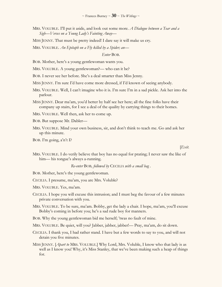$\sim$  Frances Burney  $\sim$  **30**  $\sim$  *The Witlings*  $\sim$ 

MRS. VOLUBLE. I'll put it aside, and look out some more. *A Dialogue between a Tear and a Sigh*—*Verses on a Young Lady's Fainting Away*—

MISS JENNY. That must be pretty indeed! I dare say it will make us cry.

MRS. VOLUBLE. *An Epitaph on a Fly killed by a Spider; an*—

*Enter* BOB*.*

BOB. Mother, here's a young gentlewoman wants you.

MRS. VOLUBLE. A young gentlewoman?— who can it be?

BOB. I never see her before. She's a deal smarter than Miss Jenny.

MISS JENNY. I'm sure I'd have come more dressed, if I'd known of seeing anybody.

- MRS. VOLUBLE. Well, I can't imagine who it is. I'm sure I'm in a sad pickle. Ask her into the parlour.
- MISS JENNY. Dear ma'am, you'd better by half see her here; all the fine folks have their company up stairs, for I see a deal of the quality by carrying things to their homes.

MRS. VOLUBLE. Well then, ask her to come up.

- BOB. But suppose Mr. Dabler—
- MRS. VOLUBLE. Mind your own business, sir, and don't think to teach me. Go and ask her up this minute.

BOB. I'm going, a'n't I?

#### [*Exit.*

MRS. VOLUBLE. I do verily believe that boy has no equal for prating; I never saw the like of him— his tongue's always a-running.

*Re-enter* BOB*, followed by* CECILIA *with a small bag .*

BOB. Mother, here's the young gentlewoman.

CECILIA. I presume, ma'am, you are Mrs. Voluble?

MRS. VOLUBLE. Yes, ma'am.

CECILIA. I hope you will excuse this intrusion; and I must beg the favour of a few minutes private conversation with you.

MRS. VOLUBLE. To be sure, ma'am. Bobby, get the lady a chair. I hope, ma'am, you'll excuse Bobby's coming in before you; he's a sad rude boy for manners.

BOB. Why the young gentlewoman bid me herself; 'twas no fault of mine.

MRS. VOLUBLE. Be quiet, will you? Jabber, jabber, jabber!— Pray, ma'am, do sit down.

- CECILIA. I thank you, I had rather stand. I have but a few words to say to you, and will not detain you five minutes.
- MISS JENNY. [*Apart to* MRS. VOLUBLE*.*] Why Lord, Mrs. Voluble, I know who that lady is as well as I know you! Why, it's Miss Stanley, that we've been making such a heap of things for.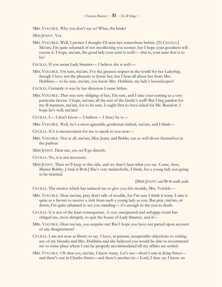MRS. VOLUBLE. Why you don't say so! What, the bride?

MISS JENNY. Yes.

MRS. VOLUBLE. Well, I protest I thought I'd seen her somewhere before. [*To* CECILIA*.*] Ma'am, I'm quite ashamed of not recollecting you sooner, but I hope your goodness will excuse it. I hope, ma'am, the good lady your aunt is well?— that is, your aunt that is to be?

CECILIA. If you mean Lady Smatter— I believe she is well.—

- MRS. VOLUBLE. I'm sure, ma'am, I've the greatest respect in the world for her Ladyship, though I have not the pleasure to know her; but I hear all about her from Mrs. Hobbins— to be sure, ma'am, you know Mrs. Hobbins, my lady's housekeeper?
- CECILIA. Certainly: it was by her direction I came hither.
- MRS. VOLUBLE. That was very obliging of her, I'm sure, and I take your coming as a very particular favour. I hope, ma'am, all the rest of the family's well? But I beg pardon for my ill manners, ma'am, for to be sure, I ought first to have asked for Mr. Beaufort. I hope he's well, ma'am?

CECILIA. I— I don't know— I believe— I fancy he is.—

MRS. VOLUBLE. Well, he's a most agreeable gentleman indeed, ma'am, and I think—

CECILIA. If it is inconvenient for me to speak to you now—

MRS. VOLUBLE. Not at all, ma'am; Miss Jenny and Bobby can as well divert themselves in the parlour.

MISS JENNY. Dear me, yes, we'll go directly.

CECILIA. No, it is not necessary.

MISS JENNY. Then we'll keep at this side, and we shan't hear what you say. Come, then, Master Bobby. [*Aside to* BOB*.*] She's very melancholic, I think, for a young lady just going to be married.

[MISS JENNY *and* BOB *walk aside.*

CECILIA. The motive which has induced me to give you this trouble, Mrs. Voluble—

- MRS. VOLUBLE. Dear ma'am, pray don't talk of trouble, for I'm sure I think it none. I take it quite as a favour to receive a visit from such a young lady as you. But pray, ma'am, sit down; I'm quite ashamed to see you standing— it's enough to tire you to death.
- CECILIA. It is not of the least consequence. A very unexpected and unhappy event has obliged me, most abruptly, to quit the house of Lady Smatter, and if—
- MRS. VOLUBLE. Dear ma'am, you surprise me! But I hope you have not parted upon account of any disagreement?

CECILIA. I am not now at liberty to say. I have, at present, insuperable objections to visiting any of my friends; and Mrs. Hobbins said she believed you would be able to recommend me to some place where I can be properly accommodated till my affairs are settled.

MRS. VOLUBLE. Oh dear yes, ma'am, I know many. Let's see—there's one in King Street and there's one in Charles Street—and there's another in— Lord, I dare say I know an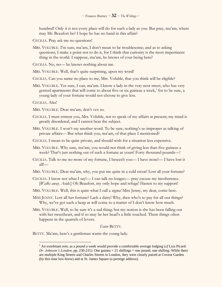$\sim$  Frances Burney  $\sim$  **32**  $\sim$  *The Witlings*  $\sim$ 

hundred! Only it is not every place will do for such a lady as you. But pray, ma'am, where may Mr. Beaufort be? I hope he has no hand in this affair?

CECILIA. Pray ask me no questions!

MRS. VOLUBLE. I'm sure, ma'am, I don't mean to be troublesome; and as to asking questions, I make a point not to do it, for I think that curiosity is the most impertinent thing in the world. I suppose, ma'am, he knows of your being here?

CECILIA. No, no— he knows nothing about me.

MRS. VOLUBLE. Well, that's quite surprising, upon my word!

CECILIA. Can you name no place to me, Mrs. Voluble, that you think will be eligible?

MRS. VOLUBLE. Yes sure, I can, ma'am. I know a lady in the very next street, who has very genteel apartments that will come to about five or six guineas a week,<sup>1</sup> for to be sure, a young lady of your fortune would not choose to give less.

CECILIA. Alas!

MRS. VOLUBLE. Dear ma'am, don't vex so.

- CECILIA. I must entreat you, Mrs. Voluble, not to speak of my affairs at present; my mind is greatly disordered, and I cannot bear the subject.
- MRS. VOLUBLE. I won't say another word. To be sure, nothing's so improper as talking of private affairs— But what think you, ma'am, of that place I mentioned?

CECILIA. I mean to be quite private, and should wish for a situation less expensive.

MRS. VOLUBLE. Why sure, ma'am, you would not think of giving less than five guineas a week? That's just nothing out of such a fortune as yours! Forty thousand pounds—!

CECILIA. Talk to me no more of my fortune, I beseech you— I have none!— I have lost it all!—

MRS. VOLUBLE. Dear ma'am, why, you put me quite in a cold sweat! Lost all your fortune?

CECILIA. I know not what I say!— I can talk no longer;— pray excuse my incoherence. [*Walks away. Aside.*] Oh Beaufort, my only hope and refuge! Hasten to my support!

MRS. VOLUBLE. Well, this is quite what I call a *nigma!* Miss Jenny, my dear, come here.

MISS JENNY. Lost all her fortune? Lack a daisy! Why, then who's to pay for all our things? Why, we've got such a heap as will come to a matter of I don't know how much.

MRS. VOLUBLE. Well, to be sure it's a sad thing; but my notion is she has been falling out with her sweetheart, and if so may be her head's a little touched. Them things often happens in the quarrels of lovers.

*Enter* BETTY*.*

BETTY. Ma'am, here's a gentleman wants the young lady.

<sup>1</sup> An exorbitant rent, as a pound a week would provide a comfortable average lodging (*cf* Liza Picard: *Dr. Johnson's London*, pp. 230-231). One guinea = 21 shillings = one pound, one shilling. While there are multiple King Streets and Charles Streets in London, they were closely paired at Covent Garden (by this time low-brow) and at St. James Square (a prestige address).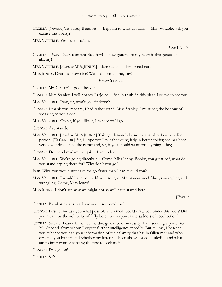$\sim$  Frances Burney  $\sim$  33  $\sim$  *The Witlings*  $\sim$ 

CECILIA. [*Starting.*] Tis surely Beaufort!— Beg him to walk upstairs.— Mrs. Voluble, will you excuse this liberty?

MRS. VOLUBLE. Yes, sure, ma'am.

[*Exit* BETTY*.*

CECILIA. [*Aside.*] Dear, constant Beaufort!— how grateful to my heart is this generous alacrity!

MRS. VOLUBLE. [*Aside to* MISS JENNY*.*] I dare say this is her sweetheart.

MISS JENNY. Dear me, how nice! We shall hear all they say!

*Enter* CENSOR*.*

CECILIA. Mr. Censor!— good heaven!

CENSOR. Miss Stanley, I will not say I rejoice— for, in truth, in this place I grieve to see you.

MRS. VOLUBLE. Pray, sir, won't you sit down?

- CENSOR. I thank you, madam, I had rather stand. Miss Stanley, I must beg the honour of speaking to you alone.
- MRS. VOLUBLE. Oh sir, if you like it, I'm sure we'll go.

CENSOR. Ay, pray do.

MRS. VOLUBLE. [*Aside to* MISS JENNY*.*] This gentleman is by no means what I call a polite person. [*To* CENSOR*.*] Sir, I hope you'll put the young lady in better spirits; she has been very low indeed since she came; and, sir, if you should want for anything, I beg—

CENSOR. Do, good madam, be quick. I am in haste.

- MRS. VOLUBLE. We're going directly, sir. Come, Miss Jenny. Bobby, you great oaf, what do you stand gaping there for? Why don't you go?
- BOB. Why, you would not have me go faster than I can, would you?
- MRS. VOLUBLE. I would have you hold your tongue, Mr. prate-apace! Always wrangling and wrangling. Come, Miss Jenny!

MISS JENNY. I don't see why we might not as well have stayed here.

[*Exeunt.*

CECILIA. By what means, sir, have you discovered me?

- CENSOR. First let me ask you what possible allurement could draw you under this roof? Did you mean, by the volubility of folly here, to overpower the sadness of recollection?
- CECILIA. No, no! I came hither by the dire guidance of necessity. I am sending a porter to Mr. Stipend, from whom I expect further intelligence speedily. But tell me, I beseech you, whence you had your information of the calamity that has befallen me? and who directed you hither? and whether my letter has been shown or concealed?—and what I am to infer from *your* being the first to seek me?

CENSOR. Pray go on!

CECILIA. Sir?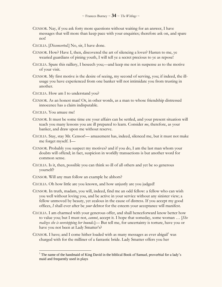$\sim$  Frances Burney  $\sim$  **34**  $\sim$  *The Witlings*  $\sim$ 

- CENSOR. Nay, if you ask forty more questions without waiting for an answer, I have messages that will more than keep pace with your enquiries; therefore ask on, and spare not!
- CECILIA. [*Disconcerted.*] No, sir, I have done.
- CENSOR. How? Have I, then, discovered the art of silencing a lover? Hasten to me, ye wearied guardians of pining youth, I will tell ye a secret precious to ye as repose!
- CECILIA. Spare this raillery, I beseech you;—and keep me not in suspense as to the motive of your visit.
- CENSOR. My first motive is the desire of seeing, my second of serving, you; if indeed, the illusage you have experienced from one banker will not intimidate you from trusting in another.
- CECILIA. How am I to understand you?
- CENSOR. As an honest man! Or, in other words, as a man to whose friendship distressed innocence has a claim indisputable.
- CECILIA. You amaze me!

 $\overline{a}$ 

- CENSOR. It must be some time ere your affairs can be settled, and your present situation will teach you many lessons you are ill prepared to learn. Consider *me*, therefore, as your banker, and draw upon me without reserve.
- CECILIA. Stay, stay Mr. Censor!— amazement has, indeed, silenced me, but it must not make me forget myself. I—
- CENSOR. Probably you suspect my motives? and if you do, I am the last man whom your doubts will offend; in fact, suspicion in worldly transactions is but another word for common sense.
- CECILIA. Is it, then, possible you can think so ill of all others and yet be so generous yourself?
- CENSOR. Will any man follow an example he abhors?
- CECILIA. Oh how little are you known, and how unjustly are you judged!
- CENSOR. In truth, madam, you will, indeed, find me an odd fellow: a fellow who can wish you well without loving you, and be active in your service without any sinister view; a fellow unmoved by beauty, yet zealous in the cause of distress. If you accept my good offices, *I* shall ever after be *your* debtor for the esteem your acceptance will manifest.
- CECILIA. I am charmed with your generous offer, and shall henceforward know better how to value you; but I must not, *cannot*, accept it. I hope that someday, some woman … [*She realizes she is overstepping her bounds*.]— But tell me, for uncertainty is torture, have you or have you not been at Lady Smatter's?
- CENSOR. I have; and I come hither loaded with as many messages as ever abigail<sup>1</sup> was charged with for the milliner of a fantastic bride. Lady Smatter offers you her

<sup>&</sup>lt;sup>1</sup> The name of the handmaid of King David in the biblical Book of Samuel, proverbial for a lady's maid and frequently used in plays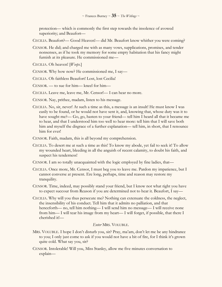protection— which is commonly the first step towards the insolence of avowed superiority; and Beaufort—

- CECILIA. Beaufort?— Good Heaven!— did Mr. Beaufort know whither you were coming?
- CENSOR. He did; and charged me with as many vows, supplications, promises, and tender nonsenses, as if he took my memory for some empty habitation that his fancy might furnish at its pleasure. He commissioned me—
- CECILIA. Oh heaven! [*Weeps.*]

CENSOR. Why how now? He commissioned me, I say—

CECILIA. Oh faithless Beaufort! Lost, lost Cecilia!

CENSOR. — to sue for him— kneel for him—

CECILIA. Leave me, leave me, Mr. Censor!— I can hear no more.

CENSOR. Nay, prithee, madam, listen to his message.

CECILIA. No, sir, never! At such a time as this, a message is an insult! He must know I was easily to be found, or he would not have sent it, and, knowing that, whose duty was it to have sought me?— Go, go, hasten to your friend— tell him I heard all that it became me to hear, and that I understood him too well to hear more: tell him that I will save both him and myself the disgrace of a further explanation— tell him, in short, that I renounce him for ever!

CENSOR. Faith, madam, this is all beyond my comprehension.

- CECILIA. To desert me at such a time as this! To know my abode, yet fail to seek it! To allow my wounded heart, bleeding in all the anguish of recent calamity, to doubt his faith, and suspect his tenderness!
- CENSOR. I am so totally unacquainted with the logic employed by fine ladies, that—
- CECILIA. Once more, Mr. Censor, I must beg you to leave me. Pardon my impatience, but I cannot converse at present. Ere long, perhaps, time and reason may restore my tranquility.
- CENSOR. Time, indeed, may possibly stand your friend, but I know not what right you have to expect succour from Reason if you are determined not to hear it. Beaufort, I say—
- CECILIA. Why will you thus persecute me? Nothing can extenuate the coldness, the neglect, the insensibility of his conduct. Tell him that it admits no palliation, and that henceforth— no, tell him nothing— I will send him no message— I will receive none from him— I will tear his image from my heart— I will forget, if possible, that there I cherished it!—

## *Enter* MRS. VOLUBLE*.*

- MRS. VOLUBLE. I hope I don't disturb you, sir? Pray, ma'am, don't let me be any hindrance to you; I only just come to ask if you would not have a bit of fire, for I think it's grown quite cold. What say you, sir?
- CENSOR. Intolerable! Will you, Miss Stanley, allow me five minutes conversation to explain—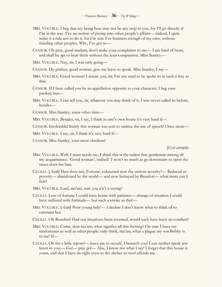- MRS. VOLUBLE. I beg that my being here may not be any stop to you, for I'll go directly if I'm in the way. I've no notion of prying into other people's affairs— indeed, I quite make it a rule not to do it, for I'm sure I've business enough of my own, without minding other peoples. Why, I've got to—
- CENSOR. Oh pray, good madam, don't make your complaints to me— I am hard of heart, and shall be apt to hear them without the least compassion. Miss Stanley—

MRS. VOLUBLE. Nay, sir, I was only going—

CENSOR. Do prithee, good woman, give me leave to speak. Miss Stanley, I say—

- MRS. VOLUBLE. Good woman! I assure you, sir, I'm not used to be spoke to in such a way as that.
- CENSOR. If I have called you by an appellation opposite to your character, I beg your pardon; but—
- MRS. VOLUBLE. I can tell you, sir, whatever you may think of it, I was never called so before; besides—

CENSOR. Miss Stanley, some other time—

MRS. VOLUBLE. Besides, sir, I say, I think in one's own house it's very hard if—

CENSOR. Intolerable! Surely this woman was sent to satirize the use of speech! Once more—

MRS. VOLUBLE. I say, sir, I think it's very hard if—

CENSOR. Miss Stanley, your most obedient!

#### [*Exit abruptly.*

- MRS. VOLUBLE. Well, I must needs say, I think this is the rudest fine gentleman among all my acquaintance. 'Good woman', indeed! I won't so much as go downstairs to open the street door for him*.*
- CECILIA. [*Aside*] Hast thou not, Fortune, exhausted now thy utmost severity?— Reduced to poverty— abandoned by the world— and now betrayed by Beaufort— what more can I fear?
- MRS. VOLUBLE. Lord, ma'am, sure you a'n't a-crying?
- CECILIA. Loss of fortune I could have borne with patience— change of situation I could have suffered with fortitude— but such a stroke as this!—
- MRS. VOLUBLE. [*Aside*] Poor young lady!— I declare I don't know what to think of to entertain her.
- CECILIA. Oh Beaufort! Had our situations been reversed, would such have been *my* conduct?
- MRS. VOLUBLE. Come, dear ma'am, what signifies all this fretting? I'm sure I have my misfortunes as well as other people: only think, ma'am, what a plague my son Bobby is to me! If—
- CECILIA. Oh for a little repose!— leave me to myself, I beseech you! I can neither speak nor listen to you;— Go!— pray go!— Alas, I know not what I say! I forget that this house is yours, and that I have no right even to the shelter its roof affords me.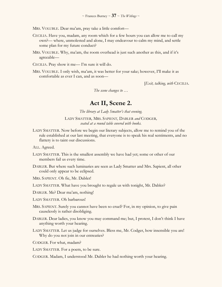MRS. VOLUBLE. Dear ma'am, pray take a little comfort—

- CECILIA. Have you, madam, any room which for a few hours you can allow me to call my own?— where, unmolested and alone, I may endeavour to calm my mind, and settle some plan for my future conduct?
- MRS. VOLUBLE. Why, ma'am, the room overhead is just such another as this, and if it's agreeable—

CECILIA. Pray show it me— I'm sure it will do.

MRS. VOLUBLE. I only wish, ma'am, it was better for your sake; however, I'll make it as comfortable as ever I can, and as soon—

[*Exit, talking, with* CECILIA*.*

*The scene changes to …*

# **Act II, Scene 2.**

*The library at Lady Smatter's that evening.*

LADY SMATTER*,* MRS. SAPIENT*,* DABLER *and* CODGER*, seated at a round table covered with books.*

LADY SMATTER. Now before we begin our literary subjects, allow me to remind you of the rule established at our last meeting, that everyone is to speak his real sentiments, and no flattery is to taint our discussions.

ALL. Agreed.

- LADY SMATTER. This is the smallest assembly we have had yet; some or other of our members fail us every time.
- DABLER. But where such luminaries are seen as Lady Smatter and Mrs. Sapient, all other could only appear to be eclipsed.

MRS. SAPIENT. Oh fie, Mr. Dabler!

LADY SMATTER. What have you brought to regale us with tonight, Mr. Dabler?

DABLER. Me? Dear ma'am, nothing!

- LADY SMATTER. Oh barbarous!
- MRS. SAPIENT. Surely you cannot have been so cruel? For, in my opinion, to give pain causelessly is rather disobliging.
- DABLER. Dear ladies, you know you may command me; but, I protest, I don't think I have anything worth your hearing.
- LADY SMATTER. Let us judge for ourselves. Bless me, Mr. Codger, how insensible you are! Why do you not join in our entreaties?
- CODGER. For what, madam?

LADY SMATTER. For a poem, to be sure.

CODGER. Madam, I understood Mr. Dabler he had nothing worth your hearing.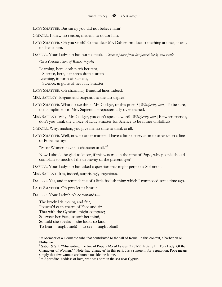$\sim$  Frances Burney  $\sim$  **38**  $\sim$  *The Witlings*  $\sim$ 

LADY SMATTER. But surely you did not believe him?

CODGER. I knew no reason, madam, to doubt him.

LADY SMATTER. Oh you Goth!<sup>1</sup> Come, dear Mr. Dabler, produce something at once, if only to shame him.

DABLER. Your Ladyship has but to speak. [*Takes a paper from his pocket book, and reads.*]

*On a Certain Party of Beaux Esprits*

Learning, here, doth pitch her tent, Science, here, her seeds doth scatter; Learning, in form of Sapient, Science, in guise of heav'nly Smatter.

LADY SMATTER. Oh charming! Beautiful lines indeed.

MRS. SAPIENT. Elegant and poignant to the last degree!

LADY SMATTER. What do *you* think, Mr. Codger, of this poem? [*Whispering him.*] To be sure, the compliment to Mrs. Sapient is preposterously overstrained.

MRS. SAPIENT. Why, Mr. Codger, you don't speak a word! [*Whispering him.*] Between friends, don't you think the choice of Lady Smatter for Science to be rather unskillful?

CODGER. Why, madam, you give me no time to think at all.

LADY SMATTER. Well, now to other matters. I have a little observation to offer upon a line of Pope; he says,

"Most Women have no character at all."<sup>2</sup>

Now I should be glad to know, if this was true in the time of Pope, why people should complain so much of the depravity of the present age?

DABLER. Your Ladyship has asked a question that might perplex a Solomon.

MRS. SAPIENT. It is, indeed, surprisingly ingenious.

DABLER. Yes, and it reminds me of a little foolish thing which I composed some time ago.

LADY SMATTER. Oh pray let us hear it.

DABLER. Your Ladyship's commands—

The lovely Iris, young and fair, Possess'd each charm of Face and air That with the Cyprian<sup>3</sup> might compare; So sweet her Face, so soft her mind, So mild she speaks— she looks so kind— To hear— might melt!— to see— might blind!

<sup>&</sup>lt;sup>1</sup> = Member of a Germanic tribe that contributed to the fall of Rome. In this context, a barbarian or Philistine.

<sup>2</sup> Sabor & Sill: "Misquoting line two of Pope's *Moral Essays* (1731-5), Epistle II, 'To a Lady: Of the Characters of Women.' " Note that 'character' in this period is a synonym for reputation; Pope means simply that few women are known outside the home.

 $3 =$ Aphrodite, goddess of love, who was born in the sea near Cyprus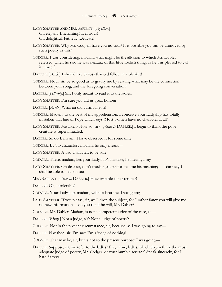- LADY SMATTER AND MRS. SAPIENT. [*Together.*] Oh elegant! Enchanting! Delicious! Oh delightful! Pathetic! Delicate!
- LADY SMATTER. Why Mr. Codger, have you no soul? Is it possible you can be unmoved by such poetry as this?
- CODGER. I was considering, madam, what might be the allusion to which Mr. Dabler referred, when he said he was *reminded* of this little foolish thing, as he was pleased to call it himself.
- DABLER. [*Aside.*] I should like to toss that old fellow in a blanket!
- CODGER. Now, sir, be so good as to gratify me by relating what may be the connection between your song, and the foregoing conversation?
- DABLER. [*Pettishly.*] Sir, I only meant to read it to the ladies.
- LADY SMATTER. I'm sure you did us great honour.
- DABLER. [*Aside.*] What an old curmudgeon!
- CODGER. Madam, to the best of my apprehension, I conceive your Ladyship has totally mistaken that line of Pope which says 'Most women have no character at all'.
- LADY SMATTER. Mistaken? How so, sir? [*Aside to* DABLER*.*] I begin to think the poor creature is superannuated.
- DABLER. So do I, ma'am; I have observed it for some time.
- CODGER. By 'no character', madam, he only means—
- LADY SMATTER. A bad character, to be sure!
- CODGER. There, madam, lies your Ladyship's mistake; he means, I say—
- LADY SMATTER. Oh dear sir, don't trouble yourself to tell me his meaning;— I dare say I shall be able to make it out.
- MRS. SAPIENT. [*Aside to* DABLER*.*] How irritable is her temper!
- DABLER. Oh, intolerably!
- CODGER. Your Ladyship, madam, will not hear me. I was going—
- LADY SMATTER. If you please, sir, we'll drop the subject, for I rather fancy you will give me no new information— do you think he will, Mr. Dabler?
- CODGER. Mr. Dabler, Madam, is not a competent judge of the case, as—
- DABLER. [*Rising.*] Not a judge, sir? Not a judge of poetry?
- CODGER. Not in the present circumstance, sir, because, as I was going to say—
- DABLER. Nay then, sir, I'm sure I'm a judge of nothing!
- CODGER. That may be, sir, but is not to the present purpose; I was going—
- DABLER. Suppose, sir, we refer to the ladies? Pray, now, ladies, which do *you* think the most adequate judge of poetry, Mr. Codger, or your humble servant? Speak sincerely, for I hate flattery.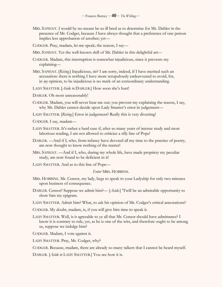- MRS. SAPIENT. I would by no means be so ill bred as to determine for Mr. Dabler in the presence of Mr. Codger, because *I* have always thought that a preference of one person implies less approbation of another; yet—
- CODGER. Pray, madam, let me speak; the reason, I say—
- MRS. SAPIENT. Yet the well-known skill of Mr. Dabler in this delightful art—
- CODGER. Madam, this interruption is somewhat injudicious, since it prevents my explaining—
- MRS. SAPIENT. [*Rising.*] Injudicious, sir? I am sorry, indeed, if I have merited such an accusation: there is nothing I have more scrupulously endeavoured to avoid, for, in *my* opinion, to be injudicious is no mark of an extraordinary understanding.
- LADY SMATTER. [*Aside to* DABLER*.*] How soon she's hurt!
- DABLER. Oh most unreasonably!
- CODGER. Madam, you will never hear me out; you prevent my explaining the reason, I say, why Mr. Dabler cannot decide upon Lady Smatter's error in judgement—
- LADY SMATTER. [*Rising.*] Error in judgement? Really this is very diverting!

CODGER. I say, madam—

- LADY SMATTER. It's rather a hard case if, after so many years of intense study and most laborious reading, I am not allowed to criticize a silly line of Pope!
- DABLER. —And if I, who, from infancy have devoted all my time to the practice of poetry, am now thought to know nothing of the matter!
- MRS. SAPIENT. —And if I, who, during my whole life, have made propriety my peculiar study, am now found to be deficient in it!
- LADY SMATTER. And as to this line of Pope—

## *Enter* MRS. HOBBINS*.*

- MRS. HOBBINS. Mr. Censor, my lady, begs to speak to your Ladyship for only two minutes upon business of consequence.
- DABLER. Censor? Suppose we admit him?— [*Aside.*] 'Twill be an admirable opportunity to show him my epigram.
- LADY SMATTER. Admit him? What, to ask his opinion of Mr. Codger's critical annotations?

CODGER. My doubt, madam, is, if you will give him time to speak it.

LADY SMATTER. Well, is it agreeable to ye all that Mr. Censor should have admittance? I know it is contrary to rule, yet, as he is one of the wits, and therefore ought to be among us, suppose we indulge him?

CODGER. Madam, I vote against it.

LADY SMATTER. Pray, Mr. Codger, why?

CODGER. Because, madam, there are already so many talkers that I cannot be heard myself.

DABLER. [*Aside to* LADY SMATTER*.*] You see how it is.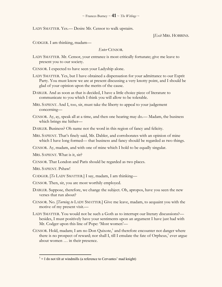$\sim$  Frances Burney  $\sim$  **41**  $\sim$  *The Witlings*  $\sim$ 

LADY SMATTER. Yes.— Desire Mr. Censor to walk upstairs.

[*Exit* MRS. HOBBINS*.*

CODGER. I am thinking, madam—

#### *Enter* CENSOR*.*

- LADY SMATTER. Mr. Censor, your entrance is most critically fortunate; give me leave to present you to our society.
- CENSOR. I expected to have seen your Ladyship alone.
- LADY SMATTER. Yes, but I have obtained a dispensation for your admittance to our Esprit Party. You must know we are at present discussing a very knotty point, and I should be glad of your opinion upon the merits of the cause.
- DABLER. And as soon as that is decided, I have a little choice piece of literature to communicate to you which I think you will allow to be tolerable.

MRS. SAPIENT. And I, too, sir, must take the liberty to appeal to your judgement concerning—

- CENSOR. Ay, ay, speak all at a time, and then one hearing may do.— Madam, the business which brings me hither—
- DABLER. Business? Oh name not the word in this region of fancy and felicity.
- MRS. SAPIENT. That's finely said, Mr. Dabler, and corroborates with an opinion of mine which I have long formed— that business and fancy should be regarded as two things.

CENSOR. Ay, madam, and with one of mine which I hold to be equally singular.

MRS. SAPIENT. What is it, sir?

CENSOR. That London and Paris should be regarded as two places.

MRS. SAPIENT. Pshaw!

- CODGER. [*To* LADY SMATTER*.*] I say, madam, I am thinking—
- CENSOR. Then, sir, you are most worthily employed.
- DABLER. Suppose, therefore, we change the subject. Oh, apropos, have you seen the new verses that run about?
- CENSOR. No. [*Turning to* LADY SMATTER*.*] Give me leave, madam, to acquaint you with the motive of my present visit.—
- LADY SMATTER. You would not be such a Goth as to interrupt our literary discussions? besides, I must positively have your sentiments upon an argument I have just had with Mr. Codger upon this line of Pope: 'Most women'—
- CENSOR. Hold, madam; I am no Don Quixote, $<sup>1</sup>$  and therefore encounter not danger where</sup> there is no prospect of reward; nor shall I, till I emulate the fate of Orpheus,<sup>1</sup> ever argue about women … in their presence.

 $1 = I$  do not tilt at windmills (a reference to Cervantes' mad knight)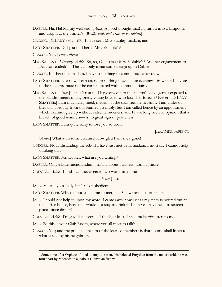$\sim$  Frances Burney  $\sim$  42  $\sim$  *The Witlings*  $\sim$ 

- DABLER. Ha, Ha! Mighty well said. [*Aside*] A good thought that! I'll turn it into a lampoon, and drop it at the printer's. [*Walks aside and writes in his tablets.*]
- CENSOR. [*To* LADY SMATTER*.*] I have seen Miss Stanley, madam, and—

LADY SMATTER. Did you find her at Mrs. Voluble's?

- CENSOR. Yes. [*They whisper.*]
- MRS. SAPIENT. [*Listening. Aside.*] So, so, Cecilia is at Mrs. Voluble's? And her engagement to Beaufort ended?— This can only mean some design upon Dabler!

CENSOR. But hear me, madam. I have something to communicate to you which—

- LADY SMATTER. Not now, I can attend to nothing now. These evenings, sir, which I devote to the fine arts, must not be contaminated with common affairs.
- MRS. SAPIENT. [*Aside.*] I shan't rest till I have dived into this matter! Leave genius exposed to the blandishments of any pretty young hoyden who loses her fortune? Never! [*To* LADY SMATTER*.*] I am much chagrined, madam, at the disagreeable necessity I am under of breaking abruptly from this learned assembly, but I am called hence by an appointment which I cannot give up without extreme rudeness; and I have long been of opinion that a breach of good manners— is no great sign of politeness.

LADY SMATTER. I am quite sorry to lose you so soon.

[*Exit* MRS. SAPIENT*.*

[*Aside.*] What a tiresome creature! How glad I am she's gone!

- CODGER. Notwithstanding the rebuff I have just met with, madam, I must say I cannot help thinking that—
- LADY SMATTER. Mr. Dabler, what are you writing?

DABLER. Only a little memorandum, ma'am, about business; nothing more.

CODGER. [*Aside.*] I find I can never get in two words at a time.

*Enter* JACK*.*

JACK. Ma'am, your Ladyship's most obedient.

 $\overline{a}$ 

LADY SMATTER. Why did not you come sooner, Jack?— we are just broke up.

JACK. I could not help it, upon my word. I came away now just as my tea was poured out at the coffee house, because I would not stay to drink it. I believe I have been to sixteen places since dinner!

CODGER. [*Aside.*] I'm glad Jack's come; I think, at least, I shall make *him* listen to me.

JACK. So this is your Club Room, where you all meet to talk?

CENSOR. Yes; and the principal maxim of the learned members is that no one shall listen to what is said by his neighbour.

 $<sup>1</sup>$  Some time after Orpheus' failed attempt to rescue his beloved Eurydice from the underworld, he was</sup> torn apart by Maenads in a jealous Dionysian frenzy.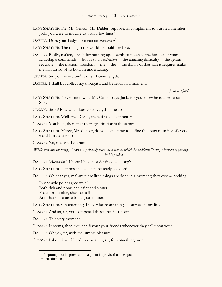LADY SMATTER. Fie, Mr. Censor! Mr. Dabler, suppose, in compliment to our new member Jack, you were to indulge us with a few lines?

DABLER. Does your Ladyship mean an *extempore*? 1

LADY SMATTER. The thing in the world I should like best.

DABLER. Really, ma'am, I wish for nothing upon earth so much as the honour of your Ladyship's commands— but as to an *extempore*— the amazing difficulty— the genius requisite— the masterly freedom— the— the— the things of that sort it requires make me half afraid of so bold an undertaking.

CENSOR. Sir, your exordium<sup>2</sup> is of sufficient length.

DABLER. I shall but collect my thoughts, and be ready in a moment.

[*Walks apart.*

LADY SMATTER. Never mind what Mr. Censor says, Jack, for you know he is a professed Stoic.

CENSOR. Stoic? Pray what does your Ladyship mean?

LADY SMATTER. Well, well, Cynic, then, if you like it better.

CENSOR. You hold, then, that their signification is the same?

LADY SMATTER. Mercy, Mr. Censor, do you expect me to define the exact meaning of every word I make use of?

CENSOR. No, madam, I do not.

*While they are speaking,* DABLER *privately looks at a paper, which he accidentally drops instead of putting in his pocket.*

DABLER. [*Advancing.*] I hope I have not detained you long?

LADY SMATTER. Is it possible you can be ready so soon?

DABLER. Oh dear yes, ma'am; these little things are done in a moment; they cost *us* nothing.

 In one sole point agree we all, Both rich and poor, and saint and sinner, Proud or humble, short or tall— And that's— a taste for a good dinner.

LADY SMATTER. Oh charming! I never heard anything so satirical in my life.

CENSOR. And so, sir, you composed these lines just now?

DABLER. This very moment.

CENSOR. It seems, then, you can favour your friends whenever they call upon you?

DABLER. Oh yes, sir, with the utmost pleasure.

CENSOR. I should be obliged to you, then, sir, for something more.

 $2 = Introduction$ 

 $\overline{a}$ 

 $1 =$ Impromptu or improvisation; a poem improvised on the spot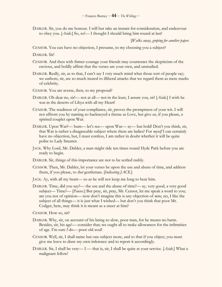DABLER. Sir, you do me honour. I will but take an instant for consideration, and endeavour to obey you. [*Aside.*] So, so!— I thought I should bring him round at last!

[*Walks away, groping for another paper.*

- CENSOR. You can have no objection, I presume, to my choosing you a subject?
- DABLER. Sir!
- CENSOR. And then with firmer courage your friends may counteract the skepticism of the envious, and boldly affirm that the verses are your own, and unstudied.
- DABLER. Really, sir, as to that, I can't say I very much mind what those sort of people say; we authors, sir, are so much inured to illiberal attacks that we regard them as mere marks of celebrity.
- CENSOR. You are averse, then, to my proposal?
- DABLER. Oh dear no, sir!— not at all— not in the least, I assure you, sir! [*Aside.*] I wish he was in the deserts of Libya with all my Heart!
- CENSOR. The readiness of your compliance, sir, proves the promptness of your wit. I will not affront you by naming so hackneyed a theme as Love, but give us, if you please, a spirited couplet upon War.
- DABLER. Upon War?— hum— let's see— upon War— ay— but hold! Don't you think, sir, that War is rather a disagreeable subject where there are ladies? For *myself* I can certainly have no objection, but, I must confess, I am rather in doubt whether it will be quite polite to Lady Smatter.
- JACK. Why Lord, Mr. Dabler, a man might ride ten times round Hyde Park before you are ready to begin.
- DABLER. Sir, things of this importance are not to be settled rashly.
- CENSOR. Then, Mr. Dabler, let your verses be upon the use and abuse of time, and address them, if you please, to *that* gentleman. [*Indicating JACK*.]
- JACK. Ay, with all my heart— so as he will not keep me long to hear him.
- DABLER. Time, did you say?— the use and the abuse of time?— ay, very good, a very good subject— Time?— [*Pauses.*] But pray, sir, pray, Mr. Censor, let me speak a word to you; are you not of opinion— now don't imagine this is any objection of *mine*, no, I like the subject of all things— it is just what I wished— but don't you think that poor Mr. Codger, here, may think it is meant as a sneer at him?
- CENSOR. How so, sir?
- DABLER. Why, sir, on account of his being so slow, poor man, for he means no harm. Besides, sir, his age!— consider that; we ought all to make allowances for the infirmities of age. I'm sure *I* do— poor old soul!
- CENSOR. Well, sir, I shall name but one subject more, and to that if you object, you must give me leave to draw my own inference and to report it accordingly.
- DABLER. Sir, I shall be very— I that is, sir, I shall be quite at your service. [*Aside.*] What a malignant fellow!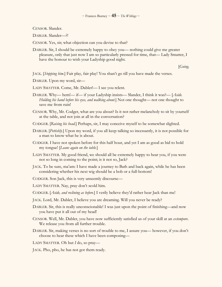$\sim$  Frances Burney  $\sim$  45  $\sim$  *The Witlings*  $\sim$ 

CENSOR. Slander.

DABLER. Slander—?!

CENSOR. Yes, sir; what objection can you devise to that?

DABLER. Sir, I should be extremely happy to obey you— nothing could give me greater pleasure, only that just now I am so particularly pressed for time, that— Lady Smatter, I have the honour to wish your Ladyship good night.

[*Going.*

JACK. [*Stopping him.*] Fair play, fair play! You shan't go till you have made the verses.

DABLER. Upon my word, sir—

LADY SMATTER. Come, Mr. Dabler!— I see you relent.

DABLER. Why— hem!— if— if your Ladyship insists— Slander, I think it was?— [*Aside. Holding his hand before his eyes, and walking about.*] Not one thought— not one thought to save me from ruin!

CENSOR. Why, Mr. Codger, what are you about? Is it not rather melancholy to sit by yourself at the table, and not join at all in the conversation?

CODGER. [*Raising his head.*] Perhaps, sir, I may conceive myself to be somewhat slighted.

- DABLER. [*Pettishly*.] Upon my word, if you all keep talking so incessantly, it is not possible for a man to know what he is about.
- CODGER. I have not spoken before for this half hour, and yet I am as good as bid to hold my tongue! [*Leans again on the table.*]
- LADY SMATTER. My good friend, we should all be extremely happy to hear you, if you were not so long in coming to the point; is it not so, Jack?
- JACK. To be sure, ma'am: I have made a journey to Bath and back again, while he has been considering whether his next wig should be a bob or a full-bottom!

CODGER. Son Jack, this is very unseemly discourse—

LADY SMATTER. Nay, pray don't scold him.

CODGER. [*Aside, and reclining as before.*] I verily believe they'd rather hear Jack than me!

JACK. Lord, Mr. Dabler, I believe you are dreaming. Will you never be ready?

- DABLER. Sir, this is really unconscionable! I was just upon the point of finishing—and now you have put it all out of my head!
- CENSOR. Well, Mr. Dabler, you have now sufficiently satisfied us of your skill at an *extempore*. We release you from all further trouble.
- DABLER. Sir, making verses is no sort of trouble to me, I assure you— however, if you don't choose to hear these which I have been composing—
- LADY SMATTER. Oh but *I* do, so pray—
- JACK. Pho, pho, he has not got them ready.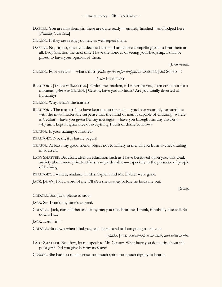DABLER. You are mistaken, sir, these are quite ready— entirely finished—and lodged here! [*Pointing to his head*]

CENSOR. If they are ready, you may as well repeat them.

DABLER. No, sir, no, since you declined at first, I am above compelling you to hear them at all. Lady Smatter, the next time I have the honour of seeing your Ladyship, I shall be proud to have your opinion of them.

[*Exit hastily.*

CENSOR. Poor wretch!— what's this? [*Picks up the paper dropped by* DABLER*.*] So! So! So—! *Enter* BEAUFORT*.*

BEAUFORT. [*To* LADY SMATTER*.*] Pardon me, madam, if I interrupt you, I am come but for a moment. [*Apart to* CENSOR*.*] Censor, have you no heart? Are you totally divested of humanity?

CENSOR. Why, what's the matter?

BEAUFORT. The matter? You have kept me on the rack— you have wantonly tortured me with the most intolerable suspense that the mind of man is capable of enduring. Where is Cecilia?—have you given her my message?— have you brought me any answer? why am I kept in ignorance of everything I wish or desire to know?

CENSOR. Is your harangue finished?

BEAUFORT. No, sir, it is hardly begun!

- CENSOR. At least, my good friend, object not to raillery in me, till you learn to check railing in yourself.
- LADY SMATTER. Beaufort, after an education such as I have bestowed upon you, this weak anxiety about mere private affairs is unpardonable;— especially in the presence of people of learning.

BEAUFORT. I waited, madam, till Mrs. Sapient and Mr. Dabler were gone.

JACK. [*Aside.*] Not a word of me! I'll e'en sneak away before he finds me out.

[*Going.*

CODGER. Son Jack, please to stop.

JACK. Sir, I can't; my time's expired.

CODGER. Jack, come hither and sit by me; you may hear me, I think, if nobody else will. Sit down, I say.

JACK. Lord, sir—

CODGER. Sit down when I bid you, and listen to what I am going to tell you.

[*Makes* JACK *seat himself at the table, and talks to him.*

LADY SMATTER. Beaufort, let me speak to Mr. Censor. What have you done, sir, about this poor girl? Did you give her my message?

CENSOR. She had too much sense, too much spirit, too much dignity to hear it.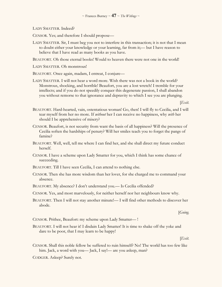$\sim$  Frances Burney  $\sim$  **47**  $\sim$  *The Witlings*  $\sim$ 

LADY SMATTER. Indeed?

CENSOR. Yes; and therefore I should propose—

LADY SMATTER. Sir, I must beg you not to interfere in this transaction; it is not that I mean to doubt either your knowledge or your learning, far from it;— but I have reason to believe that I have read as many books as you have.

BEAUFORT. Oh those eternal books! Would to heaven there were not one in the world!

LADY SMATTER. Oh monstrous!

BEAUFORT. Once again, madam, I entreat, I conjure—

LADY SMATTER. I will not hear a word more. Wish there was not a book in the world? Monstrous, shocking, and horrible! Beaufort, you are a lost wretch! I tremble for your intellects; and if you do not speedily conquer this degenerate passion, I shall abandon you without remorse to that ignorance and depravity to which I see you are plunging.

[*Exit.*

- BEAUFORT. Hard-hearted, vain, ostentatious woman! Go, then! I will fly to Cecilia, and I will tear myself from her no more. If *without* her I can receive no happiness, why *with* her should I be apprehensive of misery?
- CENSOR. Beaufort, is not security from want the basis of all happiness? Will the presence of Cecilia soften the hardships of penury? Will her smiles teach you to forget the pangs of famine?
- BEAUFORT. Well, well, tell me where I can find her, and she shall direct my future conduct herself.
- CENSOR. I have a scheme upon Lady Smatter for you, which I think has some chance of succeeding.

BEAUFORT. Till I have seen Cecilia, I can attend to nothing else.

- CENSOR. Then she has more wisdom than her lover, for she charged me to command your absence.
- BEAUFORT. My absence? I don't understand you.— Is Cecilia offended?

CENSOR. Yes, and most marvelously, for neither herself nor her neighbours know why.

BEAUFORT. Then I will not stay another minute!— I will find other methods to discover her abode.

[*Going.*

CENSOR. Prithee, Beaufort: my scheme upon Lady Smatter— !

BEAUFORT. I will not hear it! I disdain Lady Smatter! It is time to shake off the yoke and dare to be poor, that I may learn to be happy!

[*Exit.*

CENSOR. Shall this noble fellow be suffered to ruin himself? No! The world has too few like him. Jack, a word with you— Jack, I say!— are you asleep, man?

CODGER. Asleep? Surely not.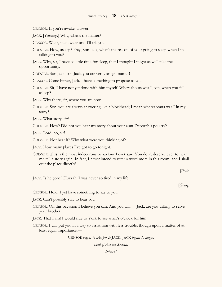$\sim$  Frances Burney  $\sim$  **48**  $\sim$  *The Witlings*  $\sim$ 

CENSOR. If you're awake, answer!

JACK. [*Yawning.*] Why, what's the matter?

CENSOR. Wake, man, wake and I'll tell you.

CODGER. How, asleep? Pray, Son Jack, what's the reason of your going to sleep when I'm talking to you?

JACK. Why, sir, I have so little time for sleep, that I thought I might as well take the opportunity.

CODGER. Son Jack, son Jack, you are verily an ignoramus!

CENSOR. Come hither, Jack. I have something to propose to you—

CODGER. Sir, I have not yet done with him myself. Whereabouts was I, son, when you fell asleep?

JACK. Why there, sir, where you are now.

CODGER. Son, you are always answering like a blockhead; I mean whereabouts was I in my story?

JACK. What story, sir?

CODGER. How? Did not you hear my story about your aunt Deborah's poultry?

JACK. Lord, no, sir!

CODGER. Not hear it? Why what were you thinking of?

JACK. How many places I've got to go tonight.

CODGER. This is the most indecorous behaviour I ever saw! You don't deserve ever to hear me tell a story again! In fact, I never intend to utter a word more in this room, and I shall quit the place directly!

[*Exit.*

JACK. Is he gone? Huzzah! I was never so tired in my life.

[*Going.*

CENSOR. Hold! I yet have something to say to you.

JACK. Can't possibly stay to hear you.

- CENSOR. On this occasion I believe you can. And you will!— Jack, are you willing to serve your brother?
- JACK. That I am! I would ride to York to see what's o'clock for him.
- CENSOR. I will put you in a way to assist him with less trouble, though upon a matter of at least equal importance.—

CENSOR *begins to whisper to* JACK; JACK *begins to laugh*.

*End of Act the Second.*

*— Interval —*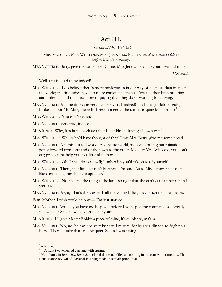$\sim$  Frances Burney  $\sim$  **49**  $\sim$  *The Witlings*  $\sim$ 

# **Act III.**

## *A parlour at Mrs. Voluble's.*

MRS. VOLUBLE*,* MRS. WHEEDLE*,* MISS JENNY *and* BOB *are seated at a round table at supper;* BETTY *is waiting.*

MRS. VOLUBLE. Betty, give me some beer. Come, Miss Jenny, here's to your love and mine.

[*They drink.*

Well, this is a sad thing indeed!

MRS. WHEEDLE. I do believe there's more misfortunes in our way of business than in any in the world; the fine ladies have no more conscience than a Tartar— they keep ordering and ordering, and think no more of paying than they do of working for a living.

MRS. VOLUBLE. Ah, the times are very bad! Very bad, indeed!— all the gentlefolks going broke— poor Mr. Mite, the rich cheesemonger at the corner is quite knocked up.<sup>1</sup>

MRS. WHEEDLE. You don't say so?

MRS. VOLUBLE. Very true, indeed.

MISS JENNY. Why, it is but a week ago that I met him a-driving his own trap<sup>2</sup>.

MRS. WHEEDLE. Well, who'd have thought of that? Pray, Mrs. Betty, give me some bread.

MRS. VOLUBLE. Ah, this is a sad world! A very sad world, indeed! Nothing but ruination going forward from one end of the town to the other. My dear Mrs. Wheedle, you don't eat; pray let me help you to a little slice more.

MRS. WHEEDLE. Oh, I shall do very well; I only wish you'd take care of yourself.

MRS. VOLUBLE. There, that little bit can't hurt you, I'm sure. As to Miss Jenny, she's quite like a crocodile, for she lives upon air.<sup>3</sup>

MRS. WHEEDLE. No, ma'am, the thing is she laces so tight that she can't eat half her natural victuals.

MRS. VOLUBLE. Ay, ay, that's the way with all the young ladies; they pinch for fine shapes.

BOB. Mother, I wish you'd help *me*— I'm just starved.

MRS. VOLUBLE. Would you have me help you before I've helped the company, you greedy fellow, you? Stay till we've done, can't you?

MISS JENNY. I'll give Master Bobby a piece of mine, if you please, ma'am.

MRS. VOLUBLE. No, no, he can't be very hungry, I'm sure, for he ate a dinner<sup>1</sup> to frighten a horse. There— take that, and be quiet. So, as I was saying—

 $1 =$ Ruined

 $2^2$  = A light two-wheeled carriage with springs

<sup>3</sup> Herodotus, in *Inquiries, Book 2*, declared that crocodiles ate nothing in the four winter months. The Renaissance revival of classical learning made this myth proverbial.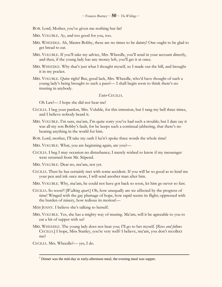BOB. Lord, Mother, you've given me nothing but fat!

MRS. VOLUBLE. Ay, and too good for you, too.

- MRS. WHEEDLE. Ah, Master Bobby, these are no times to be dainty! One ought to be glad to get bread to eat.
- MRS. VOLUBLE. If you'll take my advice, Mrs. Wheedle, you'll send in your account directly, and then, if the young lady has any money left, you'll get it at once.
- MRS. WHEEDLE. Why that's just what I thought myself, so I made out the bill, and brought it in my pocket.
- MRS. VOLUBLE. Quite right! But, good lack, Mrs. Wheedle, who'd have thought of such a young lady's being brought to such a pass?— I shall begin soon to think there's no trusting in anybody.

## *Enter* CECILIA*.*

Oh Law!— I hope she did not hear me!

- CECILIA. I beg your pardon, Mrs. Voluble, for this intrusion, but I rang my bell three times, and I believe nobody heard it.
- MRS. VOLUBLE. I'm sure, ma'am, I'm quite sorry you've had such a trouble; but I dare say it was all my son Bobby's fault, for he keeps such a continual jabbering, that there's no hearing anything in the world for him.

BOB. Lord, mother, I'll take my oath I ha'n't spoke three words the whole time!

MRS. VOLUBLE. What, you are beginning again, are you?—

- CECILIA. I beg I may occasion no disturbance; I merely wished to know if my messenger were returned from Mr. Stipend.
- MRS. VOLUBLE. Dear no, ma'am, not yet.
- CECILIA. Then he has certainly met with some accident. If you will be so good as to lend me your pen and ink once more, I will send another man after him.
- MRS. VOLUBLE. Why, ma'am, he could not have got back so soon, let him go never so fast.
- CECILIA. So soon?! [*Walking apart.*] Oh, how unequally are we affected by the progress of time! Winged with the gay plumage of hope, how rapid seems its flight; oppressed with the burden of misery, how tedious its motion!—

MISS JENNY. I believe she's talking to herself.

- MRS. VOLUBLE. Yes, she has a mighty way of musing. Ma'am, will it be agreeable to you to eat a bit of supper with us?
- MRS. WHEEDLE. The young lady does not hear you; I'll go to her myself. [*Rises and follows* CECILIA*.*] I hope, Miss Stanley, you're very well? I believe, ma'am, you don't recollect me?

CECILIA. Mrs. Wheedle?— yes, I do.

 $<sup>1</sup>$  Dinner was the mid-day or early-afternoon meal; the evening meal was supper.</sup>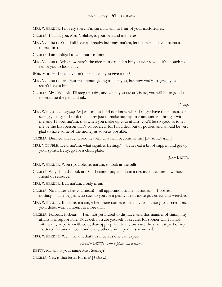MRS. WHEEDLE. I'm very sorry, I'm sure, ma'am, to hear of your misfortunes.

CECILIA. I thank you. Mrs. Voluble, is your pen and ink here?

- MRS. VOLUBLE. You shall have it directly; but pray, ma'am, let me persuade you to eat a morsel first.
- CECILIA. I am obliged to you, but I cannot.
- MRS. VOLUBLE. Why now here's the nicest little minikin bit you ever saw;— it's enough to tempt you to look at it.
- BOB. Mother, if the lady don't like it, can't you give it me?
- MRS. VOLUBLE. I was just this minute going to help you, but now you're so greedy, you shan't have a bit.
- CECILIA. Mrs. Voluble, I'll step upstairs, and when you are at leisure, you will be so good as to send me the pen and ink.

## [*Going.*

MRS. WHEEDLE. [*Stopping her.*] Ma'am, as I did not know when I might have the pleasure of seeing you again, I took the liberty just to make out my little account and bring it with me; and I hope, ma'am, that when you make up your affairs, you'll be so good as to let me be the first person that's considered, for I'm a deal out of pocket, and should be very glad to have some of the money as soon as possible.

CECILIA. Dunned already! Good heaven, what will become of me! [*Bursts into tears.*]

MRS. VOLUBLE. Dear ma'am, what signifies fretting?— better eat a bit of supper, and get up your spirits. Betty, go for a clean plate.

[*Exit* BETTY*.*

MRS. WHEEDLE. Won't you please, ma'am, to look at the bill?

- CECILIA. Why should I look at it?—I cannot pay it—I am a destitute creature— without friend or resource!
- MRS. WHEEDLE. But, ma'am, I only mean—
- CECILIA. No matter what you mean!— all application to me is fruitless— I possess nothing— The beggar who sues to you for a penny is not more powerless and wretched!
- MRS. WHEEDLE. But sure, ma'am, when there comes to be a division among your creditors, your debts won't amount to more than—
- CECILIA. Forbear, forbear!— I am not yet inured to disgrace, and this manner of stating my affairs is insupportable. Your debt, assure yourself, is secure, for sooner will I famish with want, or perish with cold, than appropriate to my own use the smallest part of my shattered fortune till your and every other claim upon it is answered.

MRS. WHEEDLE. Well, ma'am, that's as much as one can expect.

*Re-enter* BETTY*, with a plate and a letter.*

BETTY. Ma'am, is your name Miss Stanley?

CECILIA. Yes; is that letter for me? [*Takes it.*]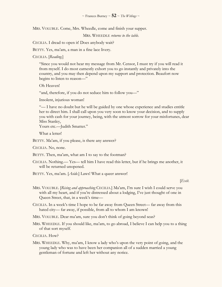$\sim$  Frances Burney  $\sim$  52  $\sim$  *The Witlings*  $\sim$ 

MRS. VOLUBLE. Come, Mrs. Wheedle, come and finish your supper.

MRS. WHEEDLE *returns to the table*.

CECILIA. I dread to open it! Does anybody wait?

BETTY. Yes, ma'am, a man in a fine lace livery.

CECILIA. [*Reading.*]

"Since you would not hear my message from Mr. Censor, I must try if you will read it from myself. I do most earnestly exhort you to go instantly and privately into the country, and you may then depend upon my support and protection. Beaufort now begins to listen to reason—"

Oh Heaven!

"and, therefore, if you do not seduce him to follow you—"

Insolent, injurious woman!

"— I have no doubt but he will be guided by one whose experience and studies entitle her to direct him. I shall call upon you very soon to know your decision, and to supply you with cash for your journey, being, with the utmost sorrow for your misfortunes, dear Miss Stanley,

Yours etc.—Judith Smatter."

What a letter!

BETTY. Ma'am, if you please, is there any answer?

CECILIA. No, none.

BETTY. Then, ma'am, what am I to say to the footman?

- CECILIA. Nothing.— Yes— tell him I have read this letter, but if he brings me another, it will be returned unopened.
- BETTY. Yes, ma'am. [*Aside*.] Laws! What a queer answer!

[*Exit.*

MRS. VOLUBLE. [*Rising and approaching* CECILIA*.*] Ma'am, I'm sure I wish I could serve you with all my heart, and if you're distressed about a lodging, I've just thought of one in Queen Street, that, in a week's time—

CECILIA. In a week's time I hope to be far away from Queen Street— far away from this hated city— far away, if possible, from all to whom I am known!

MRS. VOLUBLE. Dear ma'am, sure you don't think of going beyond seas?

MRS. WHEEDLE. If you should like, ma'am, to go abroad, I believe I can help you to a thing of that sort myself.

CECILIA. How?

MRS. WHEEDLE. Why, ma'am, I know a lady who's upon the very point of going, and the young lady who was to have been her companion all of a sudden married a young gentleman of fortune and left her without any notice.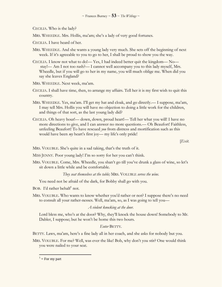CECILIA. Who is the lady?

MRS. WHEEDLE. Mrs. Hollis, ma'am; she's a lady of very good fortunes.

CECILIA. I have heard of her.

MRS. WHEEDLE. And she wants a young lady very much. She sets off the beginning of next week. If it's agreeable to you to go to her, I shall be proud to show you the way.

CECILIA. I know not what to do!— Yes, I had indeed better quit the kingdom— No stay!— Am I not too rash?— I cannot well accompany you to this lady myself, Mrs. Wheedle, but if you will go to her in my name, you will much oblige me. When did you say she leaves England?

MRS. WHEEDLE. Next week, ma'am.

CECILIA. I shall have time, then, to arrange my affairs. Tell her it is my first wish to quit this country.

- MRS. WHEEDLE. Yes, ma'am. I'll get my hat and cloak, and go directly.— I suppose, ma'am, I may tell Mrs. Hollis you will have no objection to doing a little work for the children, and things of that sort, as the last young lady did?
- CECILIA. Oh heavy hour!— down, down, proud heart!— Tell her what you will! I have no more directions to give, and I can answer no more questions.— Oh Beaufort! Faithless, unfeeling Beaufort! To have rescued *you* from distress and mortification such as this would have been *my* heart's first joy— my life's only pride!

[*Exit.*

MRS. VOLUBLE. She's quite in a sad taking, that's the truth of it.

MISS JENNY. Poor young lady! I'm so sorry for her you can't think.

MRS. VOLUBLE. Come, Mrs. Wheedle, you shan't go till you've drunk a glass of wine, so let's sit down a little while and be comfortable.

*They seat themselves at the table;* MRS. VOLUBLE *serves the wine.*

You need not be afraid of the dark, for Bobby shall go with you.

BOB. I'd rather behalf<sup>1</sup> not.

MRS. VOLUBLE. Who wants to know whether you'd rather or not? I suppose there's no need to consult all your rather-nesses. Well, ma'am, so, as I was going to tell you—

## *A violent knocking at the door.*

Lord bless me, who's at the door? Why, they'll knock the house down! Somebody to Mr. Dabler, I suppose; but he won't be home this two hours.

## *Enter* BETTY*.*

BETTY. Laws, ma'am, here's a fine lady all in her coach, and she asks for nobody but you.

MRS. VOLUBLE. For me? Well, was ever the like! Bob, why don't you stir? One would think you were nailed to your seat.

  $1 =$  For my part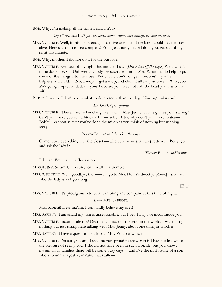BOB. Why, I'm making all the haste I can, a'n't I?

*They all rise, and* BOB *jars the table, tipping dishes and wineglasses onto the floor.*

MRS. VOLUBLE. Well, if this is not enough to drive one mad! I declare I could flay the boy alive! Here's a room to see company! You great, nasty, stupid dolt, you, get out of my sight this minute.

BOB. Why, mother, I did not do it for the purpose.

MRS. VOLUBLE. Get out of my sight this minute, I say! [*Drives him off the stage.*] Well, what's to be done now?— Did ever anybody see such a room?— Mrs. Wheedle, do help to put some of the things into the closet. Betty, why don't you get a broom?— you're as helpless as a child.— No, a mop— get a mop, and clean it all away at once.—Why, you a'n't going empty handed, are you? I declare you have not half the head you was born with.

BETTY. I'm sure I don't know what to do no more than the dog. [*Gets mop and broom.*]

## *The knocking is repeated*

MRS. VOLUBLE. There, they're knocking like mad!— Miss Jenny, what signifies your staring? Can't you make yourself a little useful?— Why, Betty, why don't you make haste?— Bobby! As soon as ever you've done the mischief you think of nothing but running away!

## *Re-enter* BOBBY *and they clear the stage.*

Come, poke everything into the closet.— There, now we shall do pretty well. Betty, go and ask the lady in.

[*Exeunt* BETTY *and* BOBBY*.*

I declare I'm in such a flustration!

MISS JENNY. So am I, I'm sure, for I'm all of a tremble.

MRS. WHEEDLE. Well, goodbye, then—we'll go to Mrs. Hollis's directly. [*Aside*.] I shall see who the lady is as I go along.

[*Exit.*

MRS. VOLUBLE. It's prodigious odd what can bring any company at this time of night.

## *Enter* MRS. SAPIENT*.*

Mrs. Sapient! Dear ma'am, I can hardly believe my eyes!

MRS. SAPIENT. I am afraid my visit is unseasonable, but I beg I may not incommode you.

MRS. VOLUBLE. Incommode me? Dear ma'am no, not the least in the world; I was doing nothing but just sitting here talking with Miss Jenny, about one thing or another.

MRS. SAPIENT. I have a question to ask you, Mrs. Voluble, which—

MRS. VOLUBLE. I'm sure, ma'am, I shall be very proud to answer it; if I had but known of the pleasure of seeing you, I should not have been in such a pickle, but you know, ma'am, in all families there will be some busy days— and I've the misfortune of a son who's so unmanageable, ma'am, that really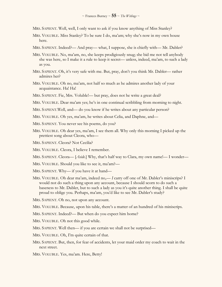MRS. SAPIENT. Well, well, I only want to ask if you know anything of Miss Stanley?

- MRS. VOLUBLE. Miss Stanley? To be sure I do, ma'am; why she's now in my own house here.
- MRS. SAPIENT. Indeed?— And pray— what, I suppose, she is chiefly with— Mr. Dabler?
- MRS. VOLUBLE. No, ma'am, no, she keeps prodigiously snug; she bid me not tell anybody she was here, so I make it a rule to keep it secret— unless, indeed, ma'am, to such a lady as you.
- MRS. SAPIENT. Oh, it's very safe with me. But, pray, don't you think Mr. Dabler— rather admires her?
- MRS. VOLUBLE. Oh no, ma'am, not half so much as he admires another lady of your acquaintance. Ha! Ha!
- MRS. SAPIENT. Fie, Mrs. Voluble!— but pray, does not he write a great deal?
- MRS. VOLUBLE. Dear ma'am yes; he's in one continual scribbling from morning to night.
- MRS. SAPIENT.Well, and— do you know if he writes about any particular person?
- MRS. VOLUBLE. Oh yes, ma'am, he writes about Celia, and Daphne, and—
- MRS. SAPIENT. You never see his poems, do you?
- MRS. VOLUBLE. Oh dear yes, ma'am, I see them all. Why only this morning I picked up the prettiest song about Cleora, who—
- MRS. SAPIENT. Cleora? Not Cecilia?
- MRS. VOLUBLE. Cleora, I believe I remember.
- MRS. SAPIENT. Cleora— [*Aside*.] Why, that's half way to Clara, my own name!— I wonder—
- MRS. VOLUBLE. Should you like to see it, ma'am?—
- MRS. SAPIENT. Why— if you have it at hand—
- MRS. VOLUBLE. Oh dear ma'am, indeed no, *I* carry off one of Mr. Dabler's miniscrips? I would not do such a thing upon any account, because I should scorn to do such a baseness to Mr. Dabler, but to such a lady as you it's quite another thing. I shall be quite proud to oblige you. Perhaps, ma'am, you'd like to see Mr. Dabler's study?
- MRS. SAPIENT. Oh no, not upon any account.

MRS. VOLUBLE. Because, upon his table, there's a matter of an hundred of his miniscrips.

- MRS. SAPIENT. Indeed?— But when do you expect him home?
- MRS. VOLUBLE. Oh not this good while.
- MRS. SAPIENT. Well then— if you are certain we shall not be surprised—
- MRS. VOLUBLE. Oh, I'm quite certain of that.
- MRS. SAPIENT. But, then, for fear of accidents, let your maid order my coach to wait in the next street.
- MRS. VOLUBLE. Yes, ma'am. Here, Betty!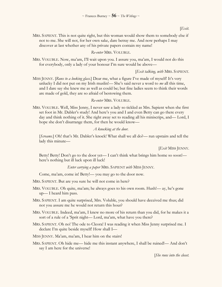```
[Exit.
```
MRS. SAPIENT. This is not quite right, but this woman would show them to somebody else if not to me. She will not, for her own sake, dare betray me. And now perhaps I may discover at last whether any of his private papers contain my name!

## *Re-enter* MRS. VOLUBLE*.*

MRS. VOLUBLE. Now, ma'am, I'll wait upon you. I assure you, ma'am, I would not do this for everybody, only a lady of your honour I'm sure would be above—

[*Exit talking, with* MRS. SAPIENT*.*

MISS JENNY. [*Runs to a looking glass.*] Dear me, what a figure I've made of myself! It's very unlucky I did not put on my Irish muslin!— She's said never a word to *me* all this time, and I dare say she knew me as well as could be; but fine ladies seem to think their words are made of gold, they are so afraid of bestowing them.

## *Re-enter* MRS. VOLUBLE*.*

MRS. VOLUBLE. Well, Miss Jenny, I never saw a lady so tickled as Mrs. Sapient when she first set foot in Mr. Dabler's study! And here's you and I and even Betty can go there every day and think nothing of it. She right away set to reading all his miniscrips, and— Lord, I hope she don't disarrange them, for then he would know—

## *A knocking at the door.*

[*Screams.*] Oh! that's Mr. Dabler's knock! What shall we all do?— run upstairs and tell the lady this minute—

[*Exit* MISS JENNY*.*

Betty! Betty! Don't go to the door yet— I can't think what brings him home so soon! here's nothing but ill luck upon ill luck!

*Enter carrying a paper* MRS. SAPIENT *with* MISS JENNY*.*

Come, ma'am, come in! Betty!— you may go to the door now.

MRS. SAPIENT. But are you sure he will not come in here?

MRS. VOLUBLE. Oh quite, ma'am; he always goes to his own room. Hush!— ay, he's gone up— I heard him pass.

MRS. SAPIENT. I am quite surprised, Mrs. Voluble, you should have deceived me thus; did not you assure me he would not return this hour?

MRS. VOLUBLE. Indeed, ma'am, I knew no more of his return than you did, for he makes it a sort of a rule of a 'Sprit night— Lord, ma'am, what have you there?

MRS. SAPIENT. Oh no! The ode to Cleora! I was reading it when Miss Jenny surprised me. I declare I'm quite beside myself! How shall I—

MISS JENNY. Ma'am, ma'am, I hear him on the stairs!

MRS. SAPIENT. Oh hide me— hide me this instant anywhere, I shall be ruined!— And don't say I am here for the universe!

[*She runs into the closet.*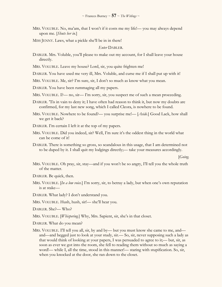$\sim$  Frances Burney  $\sim$  57  $\sim$  *The Witlings*  $\sim$ 

- MRS. VOLUBLE. No, ma'am, that I won't if it costs me my life!— you may always depend upon me. [*Shuts her in.*]
- MISS JENNY. Laws, what a pickle she'll be in in there!

*Enter* DABLER*.*

- DABLER. Mrs. Voluble, you'll please to make out my account, for I shall leave your house directly.
- MRS. VOLUBLE. Leave my house? Lord, sir, you quite frighten me!
- DABLER. You have used me very ill, Mrs. Voluble, and curse me if I shall put up with it!
- MRS. VOLUBLE. Me, sir? I'm sure, sir, I don't so much as know what you mean.

DABLER. You have been rummaging all my papers.

- MRS. VOLUBLE. I?— no, sir— I'm sorry, sir, you suspect me of such a mean proceeding.
- DABLER. 'Tis in vain to deny it; I have often had reason to think it, but now my doubts are confirmed, for my last new song, which I called Cleora, is nowhere to be found.
- MRS. VOLUBLE. Nowhere to be found?— you surprise me!— [*Aside.*] Good Lack, how shall we get it back?
- DABLER. I'm certain I left it at the top of my papers.
- MRS. VOLUBLE. Did you indeed, sir? Well, I'm sure it's the oddest thing in the world what can be come of it!
- DABLER. There is something so gross, so scandalous in this usage, that I am determined not to be duped by it. I shall quit my lodgings directly;— take your measures accordingly.

[*Going.*

- MRS. VOLUBLE. Oh pray, sir, stay—and if you won't be so angry, I'll tell you the whole truth of the matter.
- DABLER. Be quick, then.
- MRS. VOLUBLE. [*In a low voice.*] I'm sorry, sir, to betray a lady, but when one's own reputation is at stake—
- DABLER. What lady? I don't understand you.
- MRS. VOLUBLE. Hush, hush, sir!— she'll hear you.

DABLER. She?— Who?

- MRS. VOLUBLE. [*Whispering.*] Why, Mrs. Sapient, sir, she's in that closet.
- DABLER. What do you mean?
- MRS. VOLUBLE. I'll tell you all, sir, by and by— but you must know she came to me, and and—and begged just to look at your study, sir.— So, sir, never supposing such a lady as that would think of looking at your papers, I was persuaded to agree to it;— but, sir, as soon as ever we got into the room, she fell to reading them without so much as saying a word!— while I, all the time, stood in this manner!— staring with stupification. So, sir, when you knocked at the door, she ran down to the closet.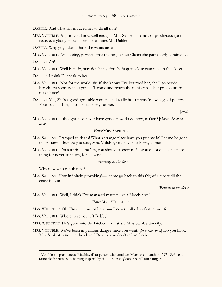DABLER. And what has induced her to do all this?

- MRS. VOLUBLE. Ah, sir, you know well enough! Mrs. Sapient is a lady of prodigious good taste; everybody knows how she admires Mr. Dabler.
- DABLER. Why yes, I don't think she wants taste.
- MRS. VOLUBLE. And seeing, perhaps, that the song about Cleora she particularly admired …

DABLER. Ah!

MRS. VOLUBLE. Well but, sir, pray don't stay, for she is quite close crammed in the closet.

DABLER. I think I'll speak to her.

- MRS. VOLUBLE. Not for the world, sir! If she knows I've betrayed her, she'll go beside herself! As soon as she's gone, I'll come and return the miniscrip— but pray, dear sir, make haste!
- DABLER. Yes, She's a good agreeable woman, and really has a pretty knowledge of poetry. Poor soul!— I begin to be half sorry for her.

[*Exit.*

MRS. VOLUBLE. I thought he'd never have gone. How do do now, ma'am? [*Opens the closet door.*]

#### *Enter* MRS. SAPIENT*.*

- MRS. SAPIENT. Cramped to death! What a strange place have you put me in! Let me be gone this instant— but are you sure, Mrs. Voluble, you have not betrayed me?
- MRS. VOLUBLE. I'm surprised, ma'am, you should suspect me! I would not do such a false thing for never so much, for I always—

#### *A knocking at the door.*

Why now who can that be?

MRS. SAPIENT. How infinitely provoking!— let me go back to this frightful closet till the coast is clear.

[*Returns to the closet.*

MRS. VOLUBLE. Well, I think I've managed matters like a Match-a-vell.<sup>1</sup>

#### *Enter* MRS. WHEEDLE*.*

MRS. WHEEDLE. Oh, I'm quite out of breath— I never walked so fast in my life.

MRS. VOLUBLE. Where have you left Bobby?

 $\overline{a}$ 

MRS. WHEEDLE. He's gone into the kitchen. I must see Miss Stanley directly.

MRS. VOLUBLE. We've been in perilous danger since you went. [*In a low voice.*] Do you know, Mrs. Sapient is now in the closet? Be sure you don't tell anybody.

<sup>1</sup> Voluble mispronounces 'Machiavel' (a person who emulates Machiavelli, author of *The Prince*, a rationale for ruthless scheming inspired by the Borgias): *cf* Sabor & Sill after Rogers.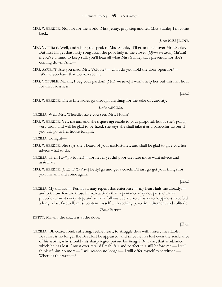MRS. WHEEDLE. No, not for the world. Miss Jenny, pray step and tell Miss Stanley I'm come back.

[*Exit* MISS JENNY*.*

- MRS. VOLUBLE. Well, and while you speak to Miss Stanley, I'll go and talk over Mr. Dabler. But first I'll get that nasty song from the poor lady in the closet! [*Opens the door.*] Ma'am! if you've a mind to keep still, you'll hear all what Miss Stanley says presently, for she's coming down. And—
- MRS. SAPIENT. Are you mad, Mrs. Voluble?— what do you hold the door open for?— Would you have that woman see me?
- MRS. VOLUBLE. Ma'am, I beg your pardon! [*Shuts the door.*] I won't help her out this half hour for that crossness.

[*Exit.*

MRS. WHEEDLE. These fine ladies go through anything for the sake of curiosity.

## *Enter* CECILIA*.*

CECILIA. Well, Mrs. Wheedle, have you seen Mrs. Hollis?

MRS. WHEEDLE. Yes, ma'am, and she's quite agreeable to your proposal: but as she's going very soon, and will be glad to be fixed, she says she shall take it as a particular favour if you will go to her house tonight.

CECILIA. Tonight— !

- MRS. WHEEDLE. She says she's heard of your misfortunes, and shall be glad to give you her advice what to do.
- CECILIA. Then I *will* go to her!— for never yet did poor creature more want advice and assistance!
- MRS. WHEEDLE. [*Calls at the door.*] Betty! go and get a coach. I'll just go get your things for you, ma'am, and come again.

[*Exit.*

CECILIA. My thanks.— Perhaps I may repent this enterprise— my heart fails me already; and yet, how few are those human actions that repentance may not pursue! Error precedes almost every step, and sorrow follows every error. I who to happiness have bid a long, a last farewell, must content myself with seeking peace in retirement and solitude.

## *Enter* BETTY*.*

BETTY. Ma'am, the coach is at the door.

[*Exit*.

CECILIA. Oh cease, fond, suffering, feeble heart, to struggle thus with misery inevitable. Beaufort is no longer the Beaufort he appeared, and since he has lost even the semblance of his worth, why should this sharp regret pursue his image? But, alas, that semblance which he has lost, *I* must ever retain! Fresh, fair and perfect it is still before me!— I will think of him no more— I will reason no longer— I will offer myself to servitude.— Where is this woman?—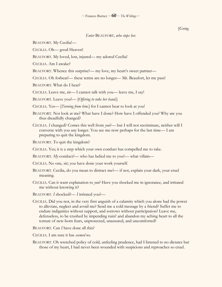#### [*Going.*

#### *Enter* BEAUFORT*, who stops her.*

BEAUFORT. My Cecilia!—

CECILIA. Oh— good Heaven!

BEAUFORT. My loved, lost, injured— my adored Cecilia!

CECILIA. Am I awake?

BEAUFORT. Whence this surprise?— my love, my heart's sweet partner—

CECILIA. Oh forbear!— these terms are no longer— Mr. Beaufort, let me pass!

BEAUFORT. What do I hear?

CECILIA. Leave me, sir— I cannot talk with you— leave me, I say!

BEAUFORT. Leave you?— [*Offering to take her hand.*]

CECILIA. Yes— [*Turning from him.*] for I cannot bear to look at you!

- BEAUFORT. Not look at me? What have I done? How have I offended you? Why are you thus dreadfully changed?
- CECILIA. *I* changed? Comes this well from *you*?— but I will not recriminate, neither will I converse with you any longer. You see me now perhaps for the last time— I am preparing to quit the kingdom.

BEAUFORT. To quit the kingdom?

CECILIA. Yes; it is a step which your own conduct has compelled me to take.

BEAUFORT.  $My$  conduct?— who has belied me to you?— what villain—

CECILIA. No one, sir; you have done your work yourself.

BEAUFORT. Cecilia, do you mean to distract me?— if not, explain your dark, your cruel meaning.

CECILIA. Can it want explanation to *you*? Have you shocked me in ignorance, and irritated me without knowing it?

BEAUFORT. *I* shocked?— *I* irritated you?—

CECILIA. Did you not, in the very first anguish of a calamity which you alone had the power to alleviate, neglect and avoid me? Send me a cold message by a friend? Suffer me to endure indignities without support, and sorrows without participation? Leave me, defenseless, to be crushed by impending ruin? and abandon my aching heart to all the torture of new-born fears, unprotected, unassured, and uncomforted?

BEAUFORT. Can *I* have done all this?

CECILIA. I am sure it has *seemed* so.

BEAUFORT. Oh wretched policy of cold, unfeeling prudence, had I listened to no dictates but those of my heart, I had never been wounded with suspicions and reproaches so cruel.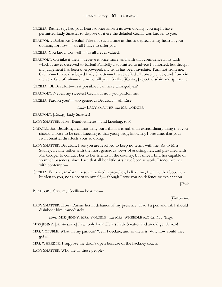- CECILIA. Rather say, had your heart sooner known its own docility, you might have permitted Lady Smatter to dispose of it ere the deluded Cecilia was known to you.
- BEAUFORT. Barbarous Cecilia! Take not such a time as this to depreciate my heart in your opinion, for now— 'tis all I have to offer you.

CECILIA. You know too well— 'tis all I ever valued.

BEAUFORT. Oh take it then— receive it once more, and with that confidence in its faith which it never deserved to forfeit! Painfully I submitted to advice I abhorred, but though my judgement has been overpowered, my truth has been inviolate. Turn not from me, Cecilia!— I have disobeyed Lady Smatter— I have defied all consequences, and flown in the very face of ruin— and now, will you, Cecilia, [*Kneeling.*] reject, disdain and spurn me?

CECILIA. Oh Beaufort— is it possible *I* can have wronged *you*?

BEAUFORT. Never, my sweetest Cecilia, if now you pardon me.

CECILIA. Pardon you?— too generous Beaufort— ah! Rise.

*Enter* LADY SMATTER *and* MR. CODGER*.*

BEAUFORT. [*Rising.*] Lady Smatter!

LADY SMATTER. How, Beaufort here?—and kneeling, too!

- CODGER. Son Beaufort, I cannot deny but I think it is rather an extraordinary thing that you should choose to be seen kneeling to that young lady, knowing, I presume, that your Aunt Smatter disaffects your so doing.
- LADY SMATTER. Beaufort, I see you are resolved to keep no terms with me. As to Miss Stanley, I came hither with the most generous views of assisting her, and prevailed with Mr. Codger to conduct her to her friends in the country; but since I find her capable of so much baseness, since I see that all her little arts have been at work, I renounce her with contempt—
- CECILIA. Forbear, madam, these unmerited reproaches; believe me, I will neither become a burden to you, nor a scorn to myself;— though I owe you no defence or explanation.

[*Exit.*

BEAUFORT. Stay, my Cecilia— hear me—

[*Follows her.*

LADY SMATTER. How? Pursue her in defiance of my presence? Had I a pen and ink I should disinherit him immediately.

*Enter* MISS JENNY*,* MRS. VOLUBLE*, and* MRS. WHEEDLE *with Cecilia's things.*

MISS JENNY. [*As she enters.*] Law, only look! Here's Lady Smatter and an old gentleman!

MRS. VOLUBLE. What, in my parlour? Well, I declare, and so there is! Why how could they get in?

MRS. WHEEDLE. I suppose the door's open because of the hackney coach.

LADY SMATTER. Who are all these people?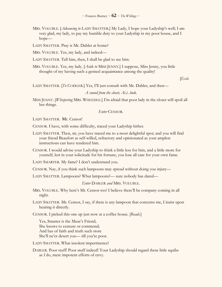$\sim$  Frances Burney  $\sim$  62  $\sim$  *The Witlings*  $\sim$ 

MRS. VOLUBLE. [*Advancing to* LADY SMATTER*.*] My Lady, I hope your Ladyship's well; I am very glad, my lady, to pay my humble duty to your Ladyship in my poor house, and I hope—

LADY SMATTER. Pray is Mr. Dabler at home?

MRS. VOLUBLE. Yes, my lady, and indeed—

LADY SMATTER. Tell him, then, I shall be glad to see him.

MRS. VOLUBLE. Yes, my lady. [*Aside to* MISS JENNY*.*] I suppose, Miss Jenny, you little thought of my having such a genteel acquaintance among the quality!

[*Exit.*

LADY SMATTER. [*To* CODGER.] Yes, I'll just consult with Mr. Dabler, and then—

#### *A sound from the closet; ALL look.*

MISS JENNY. [*Whispering* MRS. WHEEDLE*.*] I'm afraid that poor lady in the closet will spoil all her things.

*Enter* CENSOR*.*

LADY SMATTER. Mr. Censor!

CENSOR. I have, with some difficulty, traced your Ladyship hither.

LADY SMATTER. Then, sir, you have traced me to a most delightful spot; and you will find your friend Beaufort as self-willed, refractory and opinionated as your amplest instructions can have rendered him.

CENSOR. I would advise your Ladyship to think a little less for him, and a little more for yourself, lest in your solicitude for his fortune, you lose all care for your own fame.

LADY SMARTER. My fame? I don't understand you.

CENSOR. Nay, if you think such lampoons may spread without doing you injury—

LADY SMATTER. Lampoons? What lampoons?— sure nobody has dared—

*Enter* DABLER *and* MRS. VOLUBLE*.*

MRS. VOLUBLE. Why here's Mr. Censor too! I believe there'll be company coming in all night.

LADY SMATTER. Mr. Censor, I say, if there is any lampoon that concerns me, I insist upon hearing it directly.

CENSOR. I picked this one up just now at a coffee house. [*Reads.*]

Yes, Smatter is the Muse's Friend, She knows to censure or commend; And has of faith and truth such store She'll ne'er desert you— till you're poor.

LADY SMATTER. What insolent impertinence!

DABLER. Poor stuff! Poor stuff indeed! Your Ladyship should regard these little squibs as *I* do, mere impotent efforts of envy.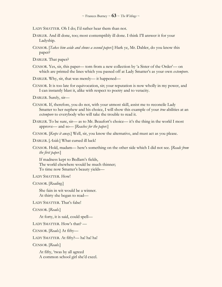LADY SMATTER. Oh I do; I'd rather hear them than not.

- DABLER. And ill done, too; most contemptibly ill done. I think I'll answer it for your Ladyship.
- CENSOR. [*Takes him aside and shows a second paper.*] Hark ye, Mr. Dabler, do you know this paper?
- DABLER. That paper?
- CENSOR. Yes, sir, this paper— torn from a new collection by 'a Sister of the Order'— on which are printed the lines which you passed off at Lady Smatter's as your own *extempore*.
- DABLER. Why, sir, that was merely— it happened—
- CENSOR. It is too late for equivocation, sir; your reputation is now wholly in my power, and I can instantly blast it, alike with respect to poetry and to veracity.
- DABLER. Surely, sir—
- CENSOR. If, therefore, you do not, with your utmost skill, assist me to reconcile Lady Smatter to her nephew and his choice, I will show this example of your *true* abilities at an *extempore* to everybody who will take the trouble to read it.
- DABLER. To be sure, sir— as to Mr. Beaufort's choice— it's the thing in the world I most approve— and so— [*Reaches for the paper*.]
- CENSOR. [*Keeps it away*.] Well, sir, you know the alternative, and must act as you please.
- DABLER. [*Aside.*] What cursed ill luck!
- CENSOR. Hold, madam— here's something on the other side which I did not see. [*Reads from the first paper.*]

 If madness kept to Bedlam's fields, The world elsewhere would be much thinner; To time now Smatter's beauty yields—

LADY SMATTER. How!

CENSOR. [*Reading.*]

She fain in wit would be a winner. At thirty she began to read—

LADY SMATTER. That's false!

CENSOR. [*Reads.*]

At forty, it is said, could spell—

LADY SMATTER. How's that? —

CENSOR. [*Reads.*] At fifty—

LADY SMATTER. At fifty?-ha! ha! ha!

CENSOR. [*Reads.*]

 At fifty, 'twas by all agreed A common school girl she'd excel.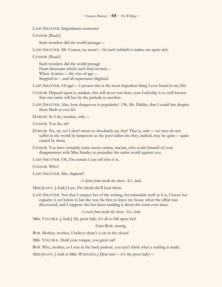$\sim$  Frances Burney  $\sim$  **64**  $\sim$  *The Witlings*  $\sim$ 

LADY SMATTER. Impertinent nonsense!

CENSOR. [*Reads.*]

Such wonders did the world presage—

LADY SMATTER. Mr. Censor, no more!—'tis such rubbish it makes me quite sick.

CENSOR. [*Reads.*]

 Such wonders did the world presage From blossoms which such fruit invited— When Avarice— the vice of age— Stepped in— and all expectance blighted.

LADY SMATTER. Of age!—I protest this is the most impudent thing I ever heard in my life!

CENSOR. Depend upon it, madam, this will never rest here; your Ladyship is so well known that one satire will but be the prelude to another.

LADY SMATTER. Alas, how dangerous is popularity! Oh, Mr. Dabler, that I could but despise these libels as you do!

DABLER. So I do, madam, only—

CENSOR. You do, sir?

- DABLER. No, sir, no! I don't mean to absolutely say that! That is, only— we men do not suffer in the world by lampoons as the poor ladies do; they, indeed, may be quite— quite ruined by them.
- CENSOR. You have certainly some secret enemy, ma'am, who avails himself of your disagreement with Miss Stanley to prejudice the entire world against you.

LADY SMATTER. Oh, I'm certain I can tell who it is.

CENSOR. Who?

LADY SMATTER. Mrs. Sapient!!

*A clatter from inside the closet; ALL look.*

MISS JENNY. [*Aside.*] Law, I'm afraid she'll hear them.

LADY SMATTER. Not that I suspect her of the writing, for miserable stuff as it is, I know her capacity is yet below it; but she was the first to leave my house when the affair was discovered, and I suppose she has been retailing it about the town ever since.

*A crash from inside the closet; ALL look.*

MRS. VOLUBLE. [*Aside.*] Ah, poor lady, it's all to fall upon her!

#### *Enter* BOB*, running.*

BOB. Mother, mother, I believe there's a cat in the closet!

MRS. VOLUBLE. Hold your tongue, you great oaf!

BOB. Why, mother, as I was in the back parlour, you can't think what a rustling it made.

MISS JENNY. [*Aside to* MRS. WHEEDLE*.*] Dear me!— it's the poor lady!—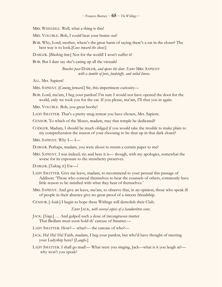$\sim$  Frances Burney  $\sim$  65  $\sim$  *The Witlings*  $\sim$ 

MRS. WHEEDLE. Well, what a thing is this!

MRS. VOLUBLE. Bob, I could beat your brains out!

BOB. Why, Lord, mother, where's the great harm of saying there's a cat in the closet? The best way is to look.[*Goes toward the closet.*]

DABLER. [*Blocking him*.] Not for the world! I won't suffer it!

BOB. But I dare say she's eating up all the victuals!

*Brushes past* DABLER*, and opens the door. Enter* MRS. SAPIENT *with a tumble of pots, foodstuffs, and soiled linens.*

ALL. Mrs. Sapient!

MRS. SAPIENT. [*Coming forward.*] Sir, this impertinent curiosity—

BOB. Lord, ma'am, I beg your pardon! I'm sure I would not have opened the door for the world, only we took you for the cat. If you please, ma'am, I'll shut you in again.

MRS. VOLUBLE. Bob, you great booby!

LADY SMATTER. That's a pretty snug retreat you have chosen, Mrs. Sapient.

CENSOR. To which of the Muses, madam, may that temple be dedicated?

CODGER. Madam, I should be much obliged if you would take the trouble to make plain to my comprehension the reason of your choosing to be shut up in that dark closet?

MRS. SAPIENT. Why I— I—

DABLER. Perhaps, madam, you were about to return a certain paper to me?

MRS. SAPIENT. I was indeed, sir; and here it is— though, with my apologies, somewhat the worse for its exposure to the strawberry preserves.

DABLER. [*Taking it*.] Ew—!

LADY SMATTER. Give me leave, madam, to recommend to your perusal this passage of Addison: 'Those who conceal themselves to hear the counsels of others, commonly have little reason to be satisfied with what they hear of themselves.'

MRS. SAPIENT. And give *me* leave, ma'am, to observe that, in *my* opinion, those who speak ill of people in their absence give no great proof of a sincere friendship.

CENSOR. [*Aside.*] I begin to hope these Witlings will demolish their Club.

*Enter* JACK*, with several copies of a handwritten score.*

JACK. [*Sings.*] … And gulped such a dose of incongruous matter That Bedlam must soon hold th' carcase of Smatter.—

LADY SMATTER. How?— what?— the carcase of who?—

JACK. Ha! Ha! Ha! Faith, madam, I beg your pardon, but who'd have thought of meeting your Ladyship here? [*Laughs*.]

LADY SMATTER. I shall go mad!— What were you singing, Jack—what is it you laugh at? why won't you speak?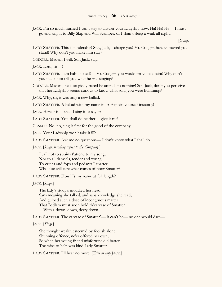JACK. I'm so much hurried I can't stay to answer your Ladyship now. Ha! Ha! Ha— I must go and sing it to Billy Skip and Will Scamper, or I shan't sleep a wink all night.

[*Going.*

- LADY SMATTER. This is intolerable! Stay, Jack, I charge you! Mr. Codger, how unmoved you stand! Why don't you make him stay?
- CODGER. Madam I will. Son Jack, stay.

JACK. Lord, sir—!

- LADY SMATTER. I am half choked!— Mr. Codger, you would provoke a saint! Why don't you make him tell you what he was singing?
- CODGER. Madam, he is so giddy-pated he attends to nothing! Son Jack, don't you perceive that her Ladyship seems curious to know what song you were humming?

JACK. Why, sir, it was only a new ballad.

LADY SMATTER. A ballad with my name in it? Explain yourself instantly!

JACK. Here it is— shall I sing it or say it?

LADY SMATTER. You shall do neither— give it me!

CENSOR. No, no, sing it first for the good of the company.

JACK. Your Ladyship won't take it ill?

LADY SMATTER. Ask me no questions— I don't know what I shall do.

JACK. [*Sings, handing copies to the Company.*]

I call not to swains t'attend to my song; Nor to all damsels, tender and young; To critics and fops and pedants I chatter; Who else will care what comes of poor Smatter?

LADY SMATTER. How? Is my name at full length?

JACK. [*Sings.*]

The lady's study's muddled her head; Sans meaning she talked, and sans knowledge she read, And gulped such a dose of incongruous matter That Bedlam must soon hold th'carcase of Smatter. With a down, down, derry down.

LADY SMATTER. The carcase of Smatter?— it can't be— no one would dare—

JACK. [*Sings.*]

She thought wealth esteem'd by foolish alone, Shunning offence, ne'er offered her own; So when her young friend misfortune did batter, Too wise to help was kind Lady Smatter.

LADY SMATTER. I'll hear no more! [*Tries to stop* JACK.]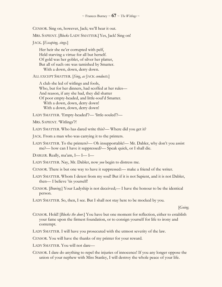CENSOR. Sing on, however, Jack; we'll hear it out.

MRS. SAPIENT. [*Blocks* LADY SMATTER*.*] Yes, Jack! Sing on!

JACK. [*Escaping, sings.*]

Her heir she ne'er corrupted with pelf, Held starving a virtue for all but herself. Of gold was her goblet, of silver her platter, But all of such ore was tarnished by Smatter. With a down, down, derry down.

ALL EXCEPT SMATTER. [*Sing*, *as* JACK *conducts*.]

A club she led of witlings and fools, Who, but for her dinners, had scoffed at her rules— And reason, if any she had, they did shatter Of poor empty-headed, and little-soul'd Smatter. With a down, down, derry down! With a down, down, derry down!

LADY SMATTER. 'Empty-headed'?— 'little-souled'?—

MRS. SAPIENT. 'Witlings'?!

LADY SMATTER. Who has dared write this?— Where did you get it?

JACK. From a man who was carrying it to the printers.

LADY SMATTER. To the printers?— Oh insupportable!— Mr. Dabler, why don't you assist me?— how can I have it suppressed?— Speak quick, or I shall die.

DABLER. Really, ma'am, I— I— I—

LADY SMATTER. Nay, Mr. Dabler, now *you* begin to distress me.

CENSOR. There is but one way to have it suppressed:— make a friend of the writer.

LADY SMATTER. Whom I detest from my soul! But if it is not Sapient, and it is not Dabler, then—I believe 'tis yourself!

CENSOR. [*Bowing.*] Your Ladyship is not deceived;— I have the honour to be the identical person.

LADY SMATTER. So, then, I see. But I shall not stay here to be mocked by you.

[*Going.*

CENSOR. Hold! [*Blocks the door.*] You have but one moment for reflection, either to establish your fame upon the firmest foundation, or to consign yourself for life to irony and contempt.

LADY SMATTER. I will have you prosecuted with the utmost severity of the law.

CENSOR. You will have the thanks of my printer for your reward.

LADY SMATTER. You will not dare—

CENSOR. I dare do anything to repel the injuries of innocence! If you any longer oppose the union of your nephew with Miss Stanley, I will destroy the whole peace of your life.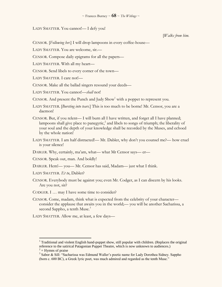## LADY SMATTER. You cannot!— I defy you!

[*Walks from him.*

CENSOR. [*Following her*.] I will drop lampoons in every coffee-house—

LADY SMATTER. You are welcome, sir.—

CENSOR. Compose daily epigrams for all the papers—

LADY SMATTER. With all my heart—

CENSOR. Send libels to every corner of the town—

LADY SMATTER. I care not!—

CENSOR. Make all the ballad singers resound your deeds—

LADY SMATTER. You cannot!—*shall* not!

CENSOR. And present the Punch and Judy  $Show<sup>1</sup>$  with a poppet to represent you.

LADY SMATTER. [*Bursting into tears.*] This is too much to be borne! Mr. Censor, you are a daemon!

- CENSOR. But, if you relent— I will burn all I have written, and forget all I have planned; lampoons shall give place to panegyric,<sup>2</sup> and libels to songs of triumph; the liberality of your soul and the depth of your knowledge shall be recorded by the Muses, and echoed by the whole nation!
- LADY SMATTER. I am half distracted!— Mr. Dabler, why don't you counsel me?— how cruel is your silence!

DABLER. Why, certainly, ma'am, what— what Mr Censor says— er—

CENSOR. Speak out, man. And boldly!

DABLER. Hem!— you— Mr. Censor has said, Madam— just what I think.

LADY SMATTER. *Et tu*, Dabler?

 $\overline{a}$ 

CENSOR. Everybody must be against you; even Mr. Codger, as I can discern by his looks. Are you not, sir?

CODGER. I … may I have some time to consider?

CENSOR. Come, madam, think what is expected from the celebrity of your character consider the applause that awaits you in the world;— you will be another Sacharissa, a second Sappho, a tenth Muse.<sup>3</sup>

LADY SMATTER. Allow me, at least, a few days—

<sup>&</sup>lt;sup>1</sup> Traditional and violent English hand-puppet show, still popular with children. (Replaces the original reference to the satirical Patagonian Puppet Theatre, which is now unknown to audiences.)  $2 =$  Hymns of praise

<sup>&</sup>lt;sup>3</sup> Sabor & Sill: "Sacharissa was Edmund Waller's poetic name for Lady Dorothea Sidney. Sappho (born c. 600 BC), a Greek lyric poet, was much admired and regarded as the tenth Muse."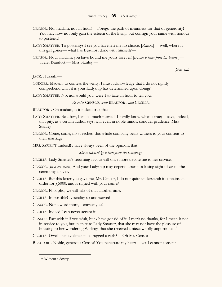- CENSOR. No, madam, not an hour!— Forego the path of meanness for that of generosity! You may now not only gain the esteem of the living, but consign your name with honour to posterity!
- LADY SMATTER. To posterity? I see you have left me no choice. [*Pauses*.]— Well, where is this girl gone?— what has Beaufort done with himself?—
- CENSOR. Now, madam, you have bound me yours forever! [*Draws a letter from his bosom*.]— Here, Beaufort!— Miss Stanley!—

[*Goes out.*

JACK. Huzzah!—

- CODGER. Madam, to confess the verity, I must acknowledge that I do not rightly comprehend what it is your Ladyship has determined upon doing?
- LADY SMATTER. No; nor would you, were I to take an hour to tell you.

*Re-enter* CENSOR*, with* BEAUFORT *and* CECILIA*.*

- BEAUFORT. Oh madam, is it indeed true that—
- LADY SMATTER. Beaufort, I am so much flurried, I hardly know what is true;— save, indeed, that pity, as a certain author says, will ever, in noble minds, conquer prudence. Miss Stanley—
- CENSOR. Come, come, no speeches; this whole company bears witness to your consent to their marriage.

MRS. SAPIENT. Indeed! *I* have always been of the opinion, that—

*She is silenced by a look from the Company.*

CECILIA. Lady Smatter's returning favour will once more devote me to her service.

- CENSOR. [*In a low voice.*] And your Ladyship may depend upon not losing sight of *me* till the ceremony is over.
- CECILIA. But this letter you gave me, Mr. Censor, I do not quite understand: it contains an order for  $\sqrt{25000}$ , and is signed with your name?

CENSOR. Pho, pho, we will talk of that another time.

CECILIA. Impossible! Liberality so undeserved—

CENSOR. Not a word more, I entreat you!

CECILIA. Indeed I can never accept it.

- CENSOR. Part with it if you wish, but *I* have got rid of it. I merit no thanks, for I mean it not in service to you, but in spite to Lady Smatter, that she may not have the pleasure of boasting to her wondering Witlings that she received a niece wholly unportioned.<sup>1</sup>
- CECILIA. Dwells benevolence in so rugged a garb?— Oh Mr. Censor—!
- BEAUFORT. Noble, generous Censor! You penetrate my heart— yet I cannot consent—

 $1 =$  Without a dowry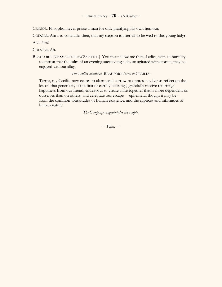$\sim$  Frances Burney  $\sim$  **70**  $\sim$  *The Witlings*  $\sim$ 

CENSOR. Pho, pho, never praise a man for only gratifying his own humour.

CODGER. Am I to conclude, then, that my stepson is after all to be wed to this young lady?

ALL. Yes!

CODGER. Ah.

BEAUFORT. [*To* SMATTER *and* SAPIENT.] You must allow me then, Ladies, with all humility, to entreat that the calm of an evening succeeding a day so agitated with storms, may be enjoyed without allay.

## *The Ladies acquiesce.* BEAUFORT *turns to* CECILIA.

Terror, my Cecilia, now ceases to alarm, and sorrow to oppress us. Let us reflect on the lesson that generosity is the first of earthly blessings, gratefully receive returning happiness from our friend, endeavour to create a life together that is more dependent on ourselves than on others, and celebrate our escape— ephemeral though it may be from the common vicissitudes of human existence, and the caprices and infirmities of human nature.

*The Company congratulates the couple.*

*— Finis. —*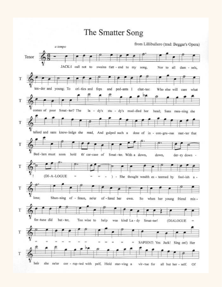## The Smatter Song

from Lillibullero (trad: Beggar's Opera)

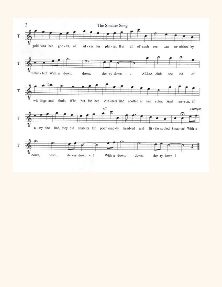